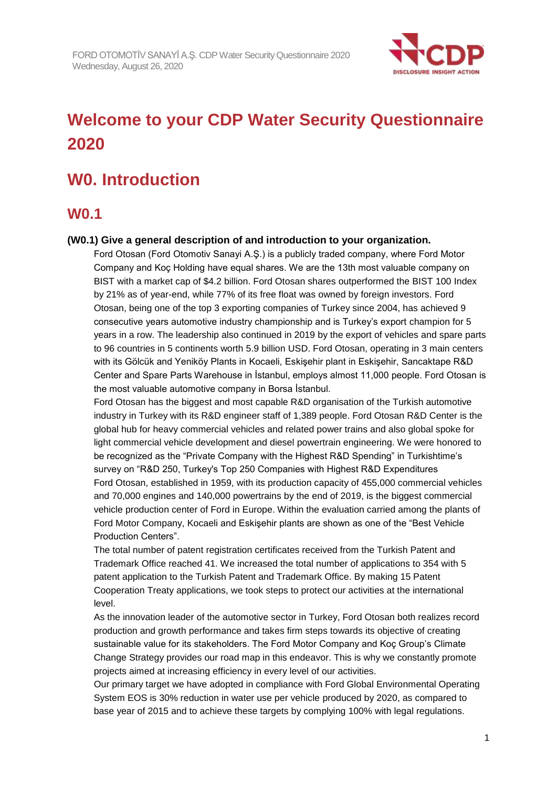

# **Welcome to your CDP Water Security Questionnaire 2020**

# **W0. Introduction**

## **W0.1**

### **(W0.1) Give a general description of and introduction to your organization.**

Ford Otosan (Ford Otomotiv Sanayi A.Ş.) is a publicly traded company, where Ford Motor Company and Koç Holding have equal shares. We are the 13th most valuable company on BIST with a market cap of \$4.2 billion. Ford Otosan shares outperformed the BIST 100 Index by 21% as of year-end, while 77% of its free float was owned by foreign investors. Ford Otosan, being one of the top 3 exporting companies of Turkey since 2004, has achieved 9 consecutive years automotive industry championship and is Turkey's export champion for 5 years in a row. The leadership also continued in 2019 by the export of vehicles and spare parts to 96 countries in 5 continents worth 5.9 billion USD. Ford Otosan, operating in 3 main centers with its Gölcük and Yeniköy Plants in Kocaeli, Eskişehir plant in Eskişehir, Sancaktape R&D Center and Spare Parts Warehouse in İstanbul, employs almost 11,000 people. Ford Otosan is the most valuable automotive company in Borsa İstanbul.

Ford Otosan has the biggest and most capable R&D organisation of the Turkish automotive industry in Turkey with its R&D engineer staff of 1,389 people. Ford Otosan R&D Center is the global hub for heavy commercial vehicles and related power trains and also global spoke for light commercial vehicle development and diesel powertrain engineering. We were honored to be recognized as the "Private Company with the Highest R&D Spending" in Turkishtime's survey on "R&D 250, Turkey's Top 250 Companies with Highest R&D Expenditures Ford Otosan, established in 1959, with its production capacity of 455,000 commercial vehicles and 70,000 engines and 140,000 powertrains by the end of 2019, is the biggest commercial vehicle production center of Ford in Europe. Within the evaluation carried among the plants of Ford Motor Company, Kocaeli and Eskişehir plants are shown as one of the "Best Vehicle Production Centers".

The total number of patent registration certificates received from the Turkish Patent and Trademark Office reached 41. We increased the total number of applications to 354 with 5 patent application to the Turkish Patent and Trademark Office. By making 15 Patent Cooperation Treaty applications, we took steps to protect our activities at the international level.

As the innovation leader of the automotive sector in Turkey, Ford Otosan both realizes record production and growth performance and takes firm steps towards its objective of creating sustainable value for its stakeholders. The Ford Motor Company and Koç Group's Climate Change Strategy provides our road map in this endeavor. This is why we constantly promote projects aimed at increasing efficiency in every level of our activities.

Our primary target we have adopted in compliance with Ford Global Environmental Operating System EOS is 30% reduction in water use per vehicle produced by 2020, as compared to base year of 2015 and to achieve these targets by complying 100% with legal regulations.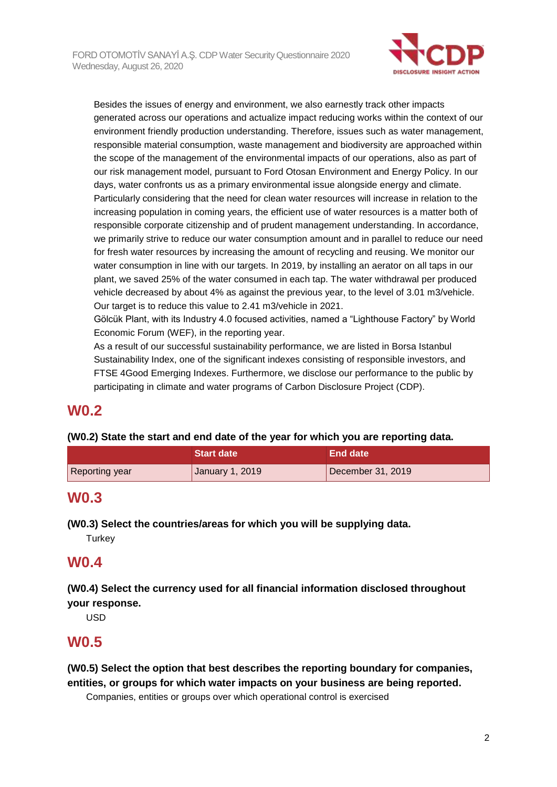

Besides the issues of energy and environment, we also earnestly track other impacts generated across our operations and actualize impact reducing works within the context of our environment friendly production understanding. Therefore, issues such as water management, responsible material consumption, waste management and biodiversity are approached within the scope of the management of the environmental impacts of our operations, also as part of our risk management model, pursuant to Ford Otosan Environment and Energy Policy. In our days, water confronts us as a primary environmental issue alongside energy and climate. Particularly considering that the need for clean water resources will increase in relation to the increasing population in coming years, the efficient use of water resources is a matter both of responsible corporate citizenship and of prudent management understanding. In accordance, we primarily strive to reduce our water consumption amount and in parallel to reduce our need for fresh water resources by increasing the amount of recycling and reusing. We monitor our water consumption in line with our targets. In 2019, by installing an aerator on all taps in our plant, we saved 25% of the water consumed in each tap. The water withdrawal per produced vehicle decreased by about 4% as against the previous year, to the level of 3.01 m3/vehicle. Our target is to reduce this value to 2.41 m3/vehicle in 2021.

Gölcük Plant, with its Industry 4.0 focused activities, named a "Lighthouse Factory" by World Economic Forum (WEF), in the reporting year.

As a result of our successful sustainability performance, we are listed in Borsa Istanbul Sustainability Index, one of the significant indexes consisting of responsible investors, and FTSE 4Good Emerging Indexes. Furthermore, we disclose our performance to the public by participating in climate and water programs of Carbon Disclosure Project (CDP).

# **W0.2**

### **(W0.2) State the start and end date of the year for which you are reporting data.**

|                | <b>Start date</b> | End date          |
|----------------|-------------------|-------------------|
| Reporting year | January 1, 2019   | December 31, 2019 |

# **W0.3**

**(W0.3) Select the countries/areas for which you will be supplying data.**

**Turkey** 

# **W0.4**

**(W0.4) Select the currency used for all financial information disclosed throughout your response.**

USD

## **W0.5**

**(W0.5) Select the option that best describes the reporting boundary for companies, entities, or groups for which water impacts on your business are being reported.**

Companies, entities or groups over which operational control is exercised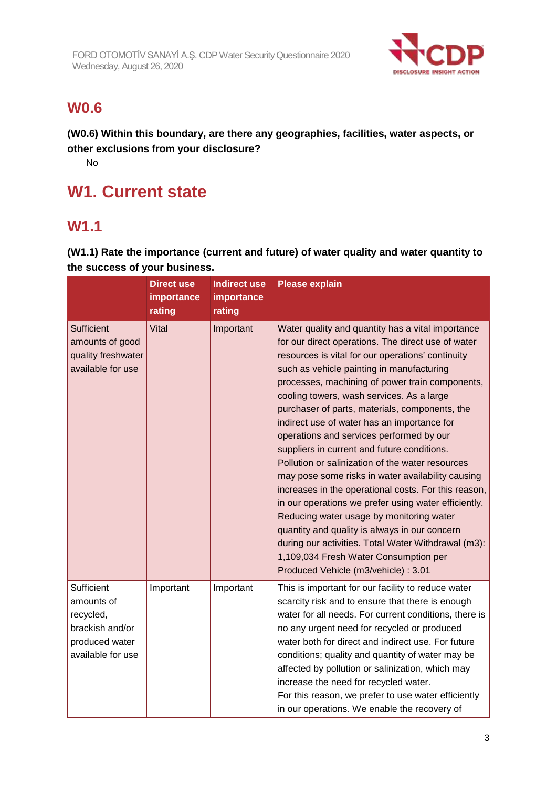

# **W0.6**

**(W0.6) Within this boundary, are there any geographies, facilities, water aspects, or other exclusions from your disclosure?**

No

# **W1. Current state**

# **W1.1**

**(W1.1) Rate the importance (current and future) of water quality and water quantity to the success of your business.**

|                                                                                                 | <b>Direct use</b><br>importance<br>rating | <b>Indirect use</b><br>importance<br>rating | <b>Please explain</b>                                                                                                                                                                                                                                                                                                                                                                                                                                                                                                                                                                                                                                                                                                                                                                                                                                                                                                                                               |
|-------------------------------------------------------------------------------------------------|-------------------------------------------|---------------------------------------------|---------------------------------------------------------------------------------------------------------------------------------------------------------------------------------------------------------------------------------------------------------------------------------------------------------------------------------------------------------------------------------------------------------------------------------------------------------------------------------------------------------------------------------------------------------------------------------------------------------------------------------------------------------------------------------------------------------------------------------------------------------------------------------------------------------------------------------------------------------------------------------------------------------------------------------------------------------------------|
| <b>Sufficient</b><br>amounts of good<br>quality freshwater<br>available for use                 | Vital                                     | Important                                   | Water quality and quantity has a vital importance<br>for our direct operations. The direct use of water<br>resources is vital for our operations' continuity<br>such as vehicle painting in manufacturing<br>processes, machining of power train components,<br>cooling towers, wash services. As a large<br>purchaser of parts, materials, components, the<br>indirect use of water has an importance for<br>operations and services performed by our<br>suppliers in current and future conditions.<br>Pollution or salinization of the water resources<br>may pose some risks in water availability causing<br>increases in the operational costs. For this reason,<br>in our operations we prefer using water efficiently.<br>Reducing water usage by monitoring water<br>quantity and quality is always in our concern<br>during our activities. Total Water Withdrawal (m3):<br>1,109,034 Fresh Water Consumption per<br>Produced Vehicle (m3/vehicle) : 3.01 |
| Sufficient<br>amounts of<br>recycled,<br>brackish and/or<br>produced water<br>available for use | Important                                 | Important                                   | This is important for our facility to reduce water<br>scarcity risk and to ensure that there is enough<br>water for all needs. For current conditions, there is<br>no any urgent need for recycled or produced<br>water both for direct and indirect use. For future<br>conditions; quality and quantity of water may be<br>affected by pollution or salinization, which may<br>increase the need for recycled water.<br>For this reason, we prefer to use water efficiently<br>in our operations. We enable the recovery of                                                                                                                                                                                                                                                                                                                                                                                                                                        |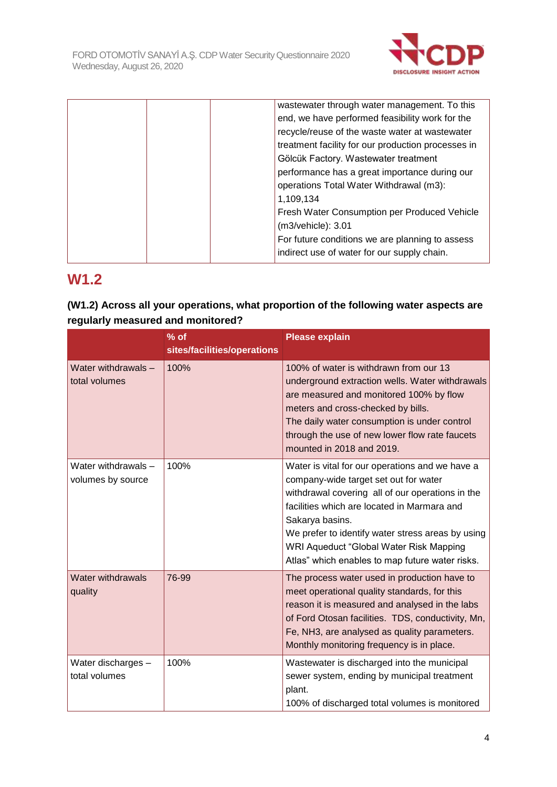

| wastewater through water management. To this       |
|----------------------------------------------------|
| end, we have performed feasibility work for the    |
| recycle/reuse of the waste water at wastewater     |
| treatment facility for our production processes in |
| Gölcük Factory. Wastewater treatment               |
| performance has a great importance during our      |
| operations Total Water Withdrawal (m3):            |
| 1,109,134                                          |
| Fresh Water Consumption per Produced Vehicle       |
| (m3/vehicle): 3.01                                 |
| For future conditions we are planning to assess    |
| indirect use of water for our supply chain.        |
|                                                    |

# **W1.2**

### **(W1.2) Across all your operations, what proportion of the following water aspects are regularly measured and monitored?**

|                                          | $%$ of<br>sites/facilities/operations | <b>Please explain</b>                                                                                                                                                                                                                                                                                                                                             |
|------------------------------------------|---------------------------------------|-------------------------------------------------------------------------------------------------------------------------------------------------------------------------------------------------------------------------------------------------------------------------------------------------------------------------------------------------------------------|
| Water withdrawals -<br>total volumes     | 100%                                  | 100% of water is withdrawn from our 13<br>underground extraction wells. Water withdrawals<br>are measured and monitored 100% by flow<br>meters and cross-checked by bills.<br>The daily water consumption is under control<br>through the use of new lower flow rate faucets<br>mounted in 2018 and 2019.                                                         |
| Water withdrawals -<br>volumes by source | 100%                                  | Water is vital for our operations and we have a<br>company-wide target set out for water<br>withdrawal covering all of our operations in the<br>facilities which are located in Marmara and<br>Sakarya basins.<br>We prefer to identify water stress areas by using<br>WRI Aqueduct "Global Water Risk Mapping<br>Atlas" which enables to map future water risks. |
| <b>Water withdrawals</b><br>quality      | 76-99                                 | The process water used in production have to<br>meet operational quality standards, for this<br>reason it is measured and analysed in the labs<br>of Ford Otosan facilities. TDS, conductivity, Mn,<br>Fe, NH3, are analysed as quality parameters.<br>Monthly monitoring frequency is in place.                                                                  |
| Water discharges -<br>total volumes      | 100%                                  | Wastewater is discharged into the municipal<br>sewer system, ending by municipal treatment<br>plant.<br>100% of discharged total volumes is monitored                                                                                                                                                                                                             |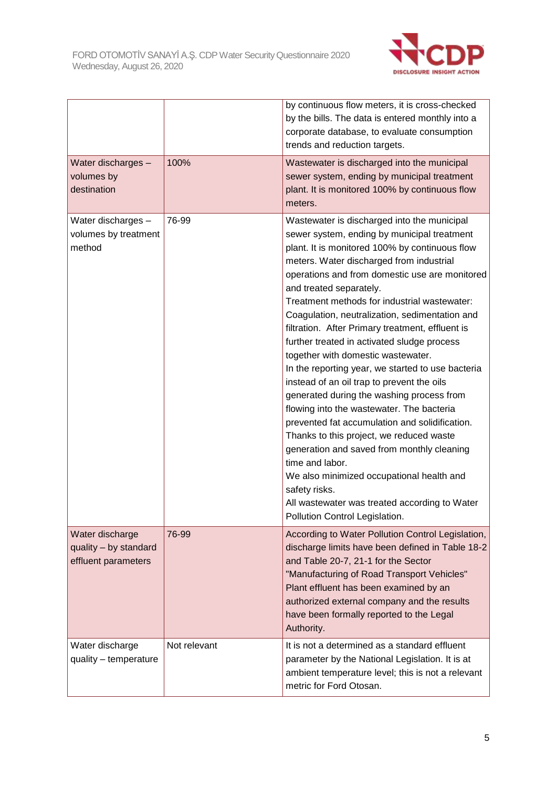

|                                                                 |              | by continuous flow meters, it is cross-checked<br>by the bills. The data is entered monthly into a<br>corporate database, to evaluate consumption<br>trends and reduction targets.                                                                                                                                                                                                                                                                                                                                                                                                                                                                                                                                                                                                                                                                                                                                                                                                                                            |
|-----------------------------------------------------------------|--------------|-------------------------------------------------------------------------------------------------------------------------------------------------------------------------------------------------------------------------------------------------------------------------------------------------------------------------------------------------------------------------------------------------------------------------------------------------------------------------------------------------------------------------------------------------------------------------------------------------------------------------------------------------------------------------------------------------------------------------------------------------------------------------------------------------------------------------------------------------------------------------------------------------------------------------------------------------------------------------------------------------------------------------------|
| Water discharges -<br>volumes by<br>destination                 | 100%         | Wastewater is discharged into the municipal<br>sewer system, ending by municipal treatment<br>plant. It is monitored 100% by continuous flow<br>meters.                                                                                                                                                                                                                                                                                                                                                                                                                                                                                                                                                                                                                                                                                                                                                                                                                                                                       |
| Water discharges -<br>volumes by treatment<br>method            | 76-99        | Wastewater is discharged into the municipal<br>sewer system, ending by municipal treatment<br>plant. It is monitored 100% by continuous flow<br>meters. Water discharged from industrial<br>operations and from domestic use are monitored<br>and treated separately.<br>Treatment methods for industrial wastewater:<br>Coagulation, neutralization, sedimentation and<br>filtration. After Primary treatment, effluent is<br>further treated in activated sludge process<br>together with domestic wastewater.<br>In the reporting year, we started to use bacteria<br>instead of an oil trap to prevent the oils<br>generated during the washing process from<br>flowing into the wastewater. The bacteria<br>prevented fat accumulation and solidification.<br>Thanks to this project, we reduced waste<br>generation and saved from monthly cleaning<br>time and labor.<br>We also minimized occupational health and<br>safety risks.<br>All wastewater was treated according to Water<br>Pollution Control Legislation. |
| Water discharge<br>quality - by standard<br>effluent parameters | 76-99        | According to Water Pollution Control Legislation,<br>discharge limits have been defined in Table 18-2<br>and Table 20-7, 21-1 for the Sector<br>"Manufacturing of Road Transport Vehicles"<br>Plant effluent has been examined by an<br>authorized external company and the results<br>have been formally reported to the Legal<br>Authority.                                                                                                                                                                                                                                                                                                                                                                                                                                                                                                                                                                                                                                                                                 |
| Water discharge<br>quality - temperature                        | Not relevant | It is not a determined as a standard effluent<br>parameter by the National Legislation. It is at<br>ambient temperature level; this is not a relevant<br>metric for Ford Otosan.                                                                                                                                                                                                                                                                                                                                                                                                                                                                                                                                                                                                                                                                                                                                                                                                                                              |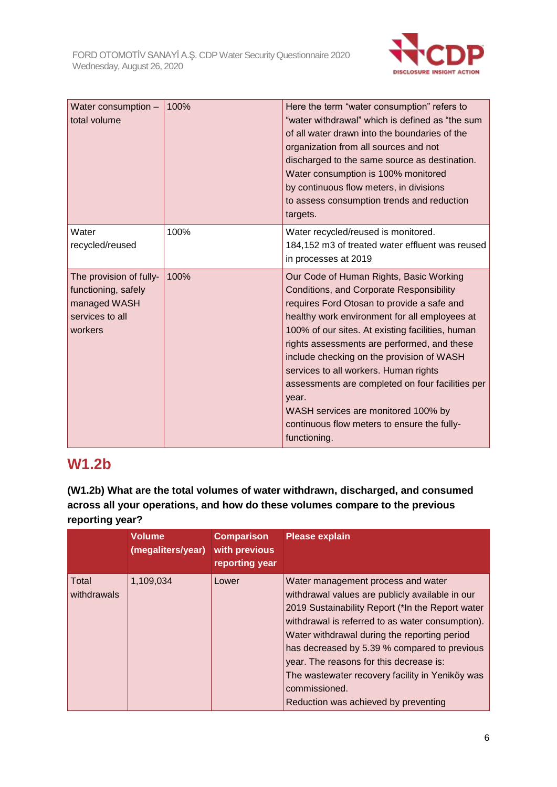

| Water consumption -<br>total volume                                                          | 100% | Here the term "water consumption" refers to<br>"water withdrawal" which is defined as "the sum<br>of all water drawn into the boundaries of the<br>organization from all sources and not<br>discharged to the same source as destination.<br>Water consumption is 100% monitored<br>by continuous flow meters, in divisions<br>to assess consumption trends and reduction<br>targets.                                                                                                                                                          |
|----------------------------------------------------------------------------------------------|------|------------------------------------------------------------------------------------------------------------------------------------------------------------------------------------------------------------------------------------------------------------------------------------------------------------------------------------------------------------------------------------------------------------------------------------------------------------------------------------------------------------------------------------------------|
| Water<br>recycled/reused                                                                     | 100% | Water recycled/reused is monitored.<br>184,152 m3 of treated water effluent was reused<br>in processes at 2019                                                                                                                                                                                                                                                                                                                                                                                                                                 |
| The provision of fully-<br>functioning, safely<br>managed WASH<br>services to all<br>workers | 100% | Our Code of Human Rights, Basic Working<br>Conditions, and Corporate Responsibility<br>requires Ford Otosan to provide a safe and<br>healthy work environment for all employees at<br>100% of our sites. At existing facilities, human<br>rights assessments are performed, and these<br>include checking on the provision of WASH<br>services to all workers. Human rights<br>assessments are completed on four facilities per<br>year.<br>WASH services are monitored 100% by<br>continuous flow meters to ensure the fully-<br>functioning. |

# **W1.2b**

**(W1.2b) What are the total volumes of water withdrawn, discharged, and consumed across all your operations, and how do these volumes compare to the previous reporting year?**

|                      | <b>Volume</b><br>(megaliters/year) | <b>Comparison</b><br>with previous<br>reporting year | <b>Please explain</b>                                                                                                                                                                                                                                                                                                                                                                                                                                |
|----------------------|------------------------------------|------------------------------------------------------|------------------------------------------------------------------------------------------------------------------------------------------------------------------------------------------------------------------------------------------------------------------------------------------------------------------------------------------------------------------------------------------------------------------------------------------------------|
| Total<br>withdrawals | 1,109,034                          | Lower                                                | Water management process and water<br>withdrawal values are publicly available in our<br>2019 Sustainability Report (*In the Report water<br>withdrawal is referred to as water consumption).<br>Water withdrawal during the reporting period<br>has decreased by 5.39 % compared to previous<br>year. The reasons for this decrease is:<br>The wastewater recovery facility in Yeniköy was<br>commissioned.<br>Reduction was achieved by preventing |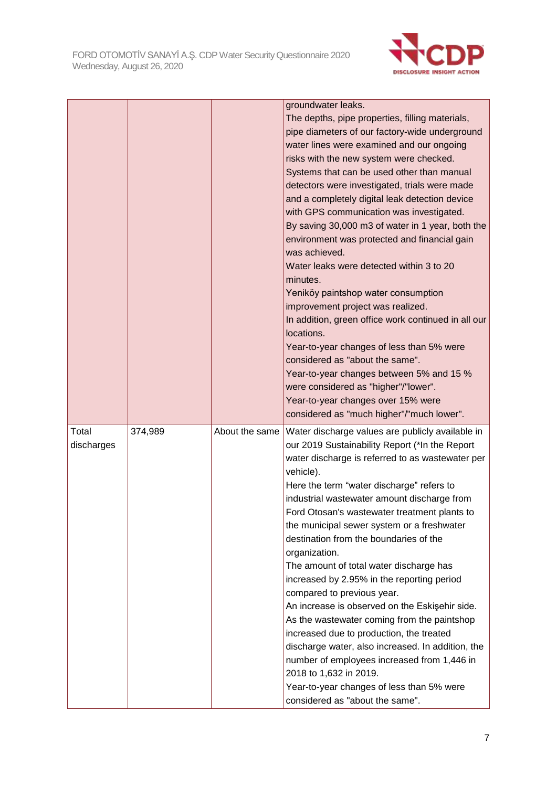

|                     |         |                | groundwater leaks.                                                                                                                                     |
|---------------------|---------|----------------|--------------------------------------------------------------------------------------------------------------------------------------------------------|
|                     |         |                | The depths, pipe properties, filling materials,                                                                                                        |
|                     |         |                | pipe diameters of our factory-wide underground                                                                                                         |
|                     |         |                | water lines were examined and our ongoing                                                                                                              |
|                     |         |                | risks with the new system were checked.                                                                                                                |
|                     |         |                | Systems that can be used other than manual                                                                                                             |
|                     |         |                | detectors were investigated, trials were made                                                                                                          |
|                     |         |                | and a completely digital leak detection device                                                                                                         |
|                     |         |                | with GPS communication was investigated.                                                                                                               |
|                     |         |                | By saving 30,000 m3 of water in 1 year, both the                                                                                                       |
|                     |         |                | environment was protected and financial gain<br>was achieved.                                                                                          |
|                     |         |                | Water leaks were detected within 3 to 20<br>minutes.                                                                                                   |
|                     |         |                | Yeniköy paintshop water consumption                                                                                                                    |
|                     |         |                | improvement project was realized.                                                                                                                      |
|                     |         |                | In addition, green office work continued in all our                                                                                                    |
|                     |         |                | locations.                                                                                                                                             |
|                     |         |                | Year-to-year changes of less than 5% were                                                                                                              |
|                     |         |                | considered as "about the same".                                                                                                                        |
|                     |         |                | Year-to-year changes between 5% and 15 %                                                                                                               |
|                     |         |                | were considered as "higher"/"lower".                                                                                                                   |
|                     |         |                | Year-to-year changes over 15% were                                                                                                                     |
|                     |         |                | considered as "much higher"/"much lower".                                                                                                              |
| Total<br>discharges | 374,989 | About the same | Water discharge values are publicly available in<br>our 2019 Sustainability Report (*In the Report<br>water discharge is referred to as wastewater per |
|                     |         |                | vehicle).                                                                                                                                              |
|                     |         |                | Here the term "water discharge" refers to                                                                                                              |
|                     |         |                | industrial wastewater amount discharge from                                                                                                            |
|                     |         |                | Ford Otosan's wastewater treatment plants to                                                                                                           |
|                     |         |                | the municipal sewer system or a freshwater                                                                                                             |
|                     |         |                | destination from the boundaries of the                                                                                                                 |
|                     |         |                | organization.                                                                                                                                          |
|                     |         |                | The amount of total water discharge has                                                                                                                |
|                     |         |                | increased by 2.95% in the reporting period                                                                                                             |
|                     |         |                | compared to previous year.                                                                                                                             |
|                     |         |                | An increase is observed on the Eskişehir side.                                                                                                         |
|                     |         |                | As the wastewater coming from the paintshop                                                                                                            |
|                     |         |                | increased due to production, the treated                                                                                                               |
|                     |         |                | discharge water, also increased. In addition, the                                                                                                      |
|                     |         |                | number of employees increased from 1,446 in                                                                                                            |
|                     |         |                | 2018 to 1,632 in 2019.                                                                                                                                 |
|                     |         |                | Year-to-year changes of less than 5% were<br>considered as "about the same".                                                                           |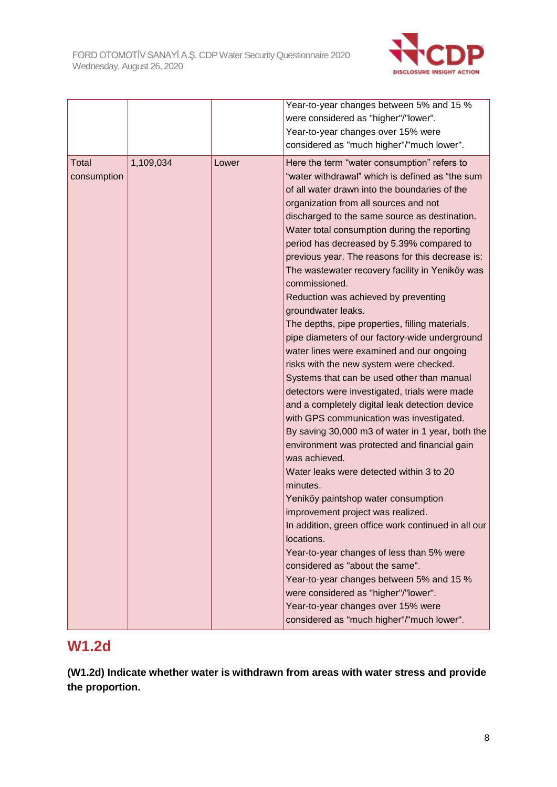

|             |           |       | Year-to-year changes between 5% and 15 %                         |
|-------------|-----------|-------|------------------------------------------------------------------|
|             |           |       | were considered as "higher"/"lower".                             |
|             |           |       | Year-to-year changes over 15% were                               |
|             |           |       | considered as "much higher"/"much lower".                        |
| Total       | 1,109,034 | Lower | Here the term "water consumption" refers to                      |
| consumption |           |       | "water withdrawal" which is defined as "the sum                  |
|             |           |       | of all water drawn into the boundaries of the                    |
|             |           |       | organization from all sources and not                            |
|             |           |       | discharged to the same source as destination.                    |
|             |           |       | Water total consumption during the reporting                     |
|             |           |       | period has decreased by 5.39% compared to                        |
|             |           |       | previous year. The reasons for this decrease is:                 |
|             |           |       | The wastewater recovery facility in Yeniköy was<br>commissioned. |
|             |           |       | Reduction was achieved by preventing                             |
|             |           |       | groundwater leaks.                                               |
|             |           |       | The depths, pipe properties, filling materials,                  |
|             |           |       | pipe diameters of our factory-wide underground                   |
|             |           |       | water lines were examined and our ongoing                        |
|             |           |       | risks with the new system were checked.                          |
|             |           |       | Systems that can be used other than manual                       |
|             |           |       | detectors were investigated, trials were made                    |
|             |           |       | and a completely digital leak detection device                   |
|             |           |       | with GPS communication was investigated.                         |
|             |           |       | By saving 30,000 m3 of water in 1 year, both the                 |
|             |           |       | environment was protected and financial gain                     |
|             |           |       | was achieved.                                                    |
|             |           |       | Water leaks were detected within 3 to 20                         |
|             |           |       | minutes.                                                         |
|             |           |       | Yeniköy paintshop water consumption                              |
|             |           |       | improvement project was realized.                                |
|             |           |       | In addition, green office work continued in all our              |
|             |           |       | locations.                                                       |
|             |           |       | Year-to-year changes of less than 5% were                        |
|             |           |       | considered as "about the same".                                  |
|             |           |       | Year-to-year changes between 5% and 15 %                         |
|             |           |       | were considered as "higher"/"lower".                             |
|             |           |       | Year-to-year changes over 15% were                               |
|             |           |       | considered as "much higher"/"much lower".                        |

## **W1.2d**

**(W1.2d) Indicate whether water is withdrawn from areas with water stress and provide the proportion.**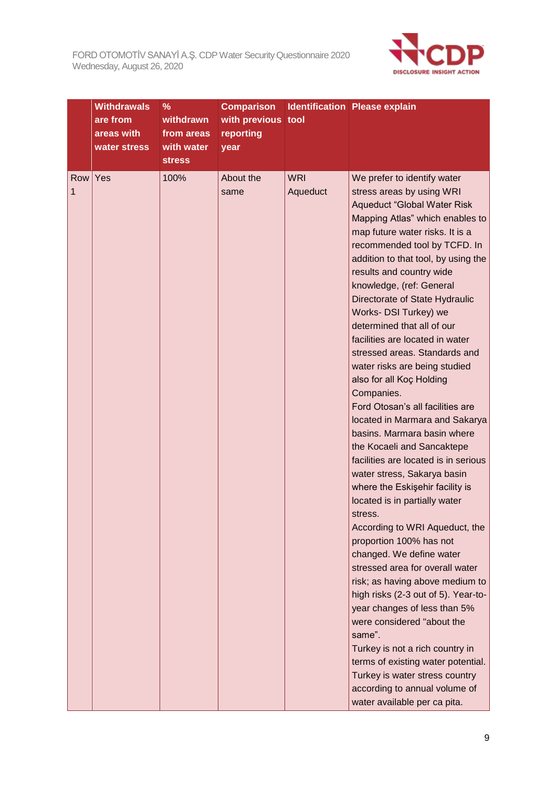

|          | <b>Withdrawals</b><br>are from<br>areas with<br>water stress | $\%$<br>withdrawn<br>from areas<br>with water<br><b>stress</b> | <b>Comparison</b><br>with previous tool<br>reporting<br>year |                        | <b>Identification Please explain</b>                                                                                                                                                                                                                                                                                                                                                                                                                                                                                                                                                                                                                                                                                                                                                                                                                                                                                                                                                                                                                                                                                                                                                                                                                                                           |
|----------|--------------------------------------------------------------|----------------------------------------------------------------|--------------------------------------------------------------|------------------------|------------------------------------------------------------------------------------------------------------------------------------------------------------------------------------------------------------------------------------------------------------------------------------------------------------------------------------------------------------------------------------------------------------------------------------------------------------------------------------------------------------------------------------------------------------------------------------------------------------------------------------------------------------------------------------------------------------------------------------------------------------------------------------------------------------------------------------------------------------------------------------------------------------------------------------------------------------------------------------------------------------------------------------------------------------------------------------------------------------------------------------------------------------------------------------------------------------------------------------------------------------------------------------------------|
| Row<br>1 | Yes                                                          | 100%                                                           | About the<br>same                                            | <b>WRI</b><br>Aqueduct | We prefer to identify water<br>stress areas by using WRI<br><b>Aqueduct "Global Water Risk</b><br>Mapping Atlas" which enables to<br>map future water risks. It is a<br>recommended tool by TCFD. In<br>addition to that tool, by using the<br>results and country wide<br>knowledge, (ref: General<br>Directorate of State Hydraulic<br>Works- DSI Turkey) we<br>determined that all of our<br>facilities are located in water<br>stressed areas. Standards and<br>water risks are being studied<br>also for all Koç Holding<br>Companies.<br>Ford Otosan's all facilities are<br>located in Marmara and Sakarya<br>basins. Marmara basin where<br>the Kocaeli and Sancaktepe<br>facilities are located is in serious<br>water stress, Sakarya basin<br>where the Eskişehir facility is<br>located is in partially water<br>stress.<br>According to WRI Aqueduct, the<br>proportion 100% has not<br>changed. We define water<br>stressed area for overall water<br>risk; as having above medium to<br>high risks (2-3 out of 5). Year-to-<br>year changes of less than 5%<br>were considered "about the<br>same".<br>Turkey is not a rich country in<br>terms of existing water potential.<br>Turkey is water stress country<br>according to annual volume of<br>water available per ca pita. |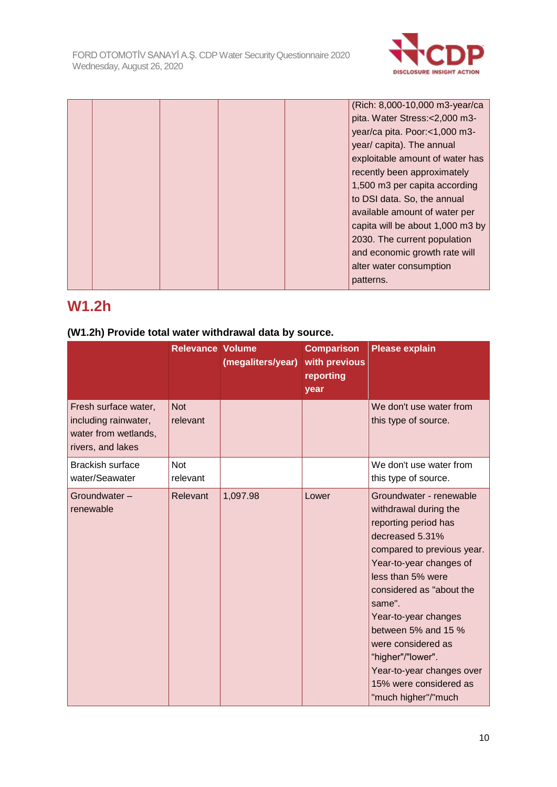

|  |  | (Rich: 8,000-10,000 m3-year/ca   |
|--|--|----------------------------------|
|  |  | pita. Water Stress:<2,000 m3-    |
|  |  | year/ca pita. Poor:<1,000 m3-    |
|  |  | year/ capita). The annual        |
|  |  | exploitable amount of water has  |
|  |  | recently been approximately      |
|  |  | 1,500 m3 per capita according    |
|  |  | to DSI data. So, the annual      |
|  |  | available amount of water per    |
|  |  | capita will be about 1,000 m3 by |
|  |  | 2030. The current population     |
|  |  | and economic growth rate will    |
|  |  | alter water consumption          |
|  |  | patterns.                        |
|  |  |                                  |

# **W1.2h**

### **(W1.2h) Provide total water withdrawal data by source.**

|                                                                                           | <b>Relevance Volume</b> | (megaliters/year) | <b>Comparison</b><br>with previous<br>reporting<br>year | <b>Please explain</b>                                                                                                                                                                                                                                                                                                                                                                   |
|-------------------------------------------------------------------------------------------|-------------------------|-------------------|---------------------------------------------------------|-----------------------------------------------------------------------------------------------------------------------------------------------------------------------------------------------------------------------------------------------------------------------------------------------------------------------------------------------------------------------------------------|
| Fresh surface water,<br>including rainwater,<br>water from wetlands,<br>rivers, and lakes | <b>Not</b><br>relevant  |                   |                                                         | We don't use water from<br>this type of source.                                                                                                                                                                                                                                                                                                                                         |
| <b>Brackish surface</b><br>water/Seawater                                                 | <b>Not</b><br>relevant  |                   |                                                         | We don't use water from<br>this type of source.                                                                                                                                                                                                                                                                                                                                         |
| Groundwater-<br>renewable                                                                 | Relevant                | 1,097.98          | Lower                                                   | Groundwater - renewable<br>withdrawal during the<br>reporting period has<br>decreased 5.31%<br>compared to previous year.<br>Year-to-year changes of<br>less than 5% were<br>considered as "about the<br>same".<br>Year-to-year changes<br>between 5% and 15 %<br>were considered as<br>"higher"/"lower".<br>Year-to-year changes over<br>15% were considered as<br>"much higher"/"much |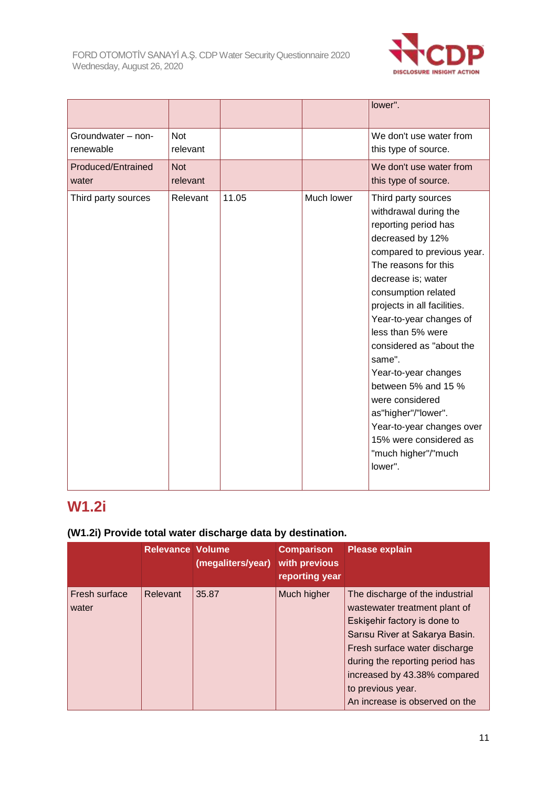

|                                 |                        |       |            | lower".                                                                                                                                                                                                                                                                                                                                                                                                                                                                                            |
|---------------------------------|------------------------|-------|------------|----------------------------------------------------------------------------------------------------------------------------------------------------------------------------------------------------------------------------------------------------------------------------------------------------------------------------------------------------------------------------------------------------------------------------------------------------------------------------------------------------|
| Groundwater - non-<br>renewable | <b>Not</b><br>relevant |       |            | We don't use water from<br>this type of source.                                                                                                                                                                                                                                                                                                                                                                                                                                                    |
| Produced/Entrained<br>water     | <b>Not</b><br>relevant |       |            | We don't use water from<br>this type of source.                                                                                                                                                                                                                                                                                                                                                                                                                                                    |
| Third party sources             | Relevant               | 11.05 | Much lower | Third party sources<br>withdrawal during the<br>reporting period has<br>decreased by 12%<br>compared to previous year.<br>The reasons for this<br>decrease is; water<br>consumption related<br>projects in all facilities.<br>Year-to-year changes of<br>less than 5% were<br>considered as "about the<br>same".<br>Year-to-year changes<br>between 5% and 15 %<br>were considered<br>as"higher"/"lower".<br>Year-to-year changes over<br>15% were considered as<br>"much higher"/"much<br>lower". |

# **W1.2i**

### **(W1.2i) Provide total water discharge data by destination.**

|                        | <b>Relevance Volume</b> | (megaliters/year) | <b>Comparison</b><br>with previous<br>reporting year | <b>Please explain</b>                                                                                                                                                                                                                                                                         |
|------------------------|-------------------------|-------------------|------------------------------------------------------|-----------------------------------------------------------------------------------------------------------------------------------------------------------------------------------------------------------------------------------------------------------------------------------------------|
| Fresh surface<br>water | Relevant                | 35.87             | Much higher                                          | The discharge of the industrial<br>wastewater treatment plant of<br>Eskişehir factory is done to<br>Sarısu River at Sakarya Basin.<br>Fresh surface water discharge<br>during the reporting period has<br>increased by 43.38% compared<br>to previous year.<br>An increase is observed on the |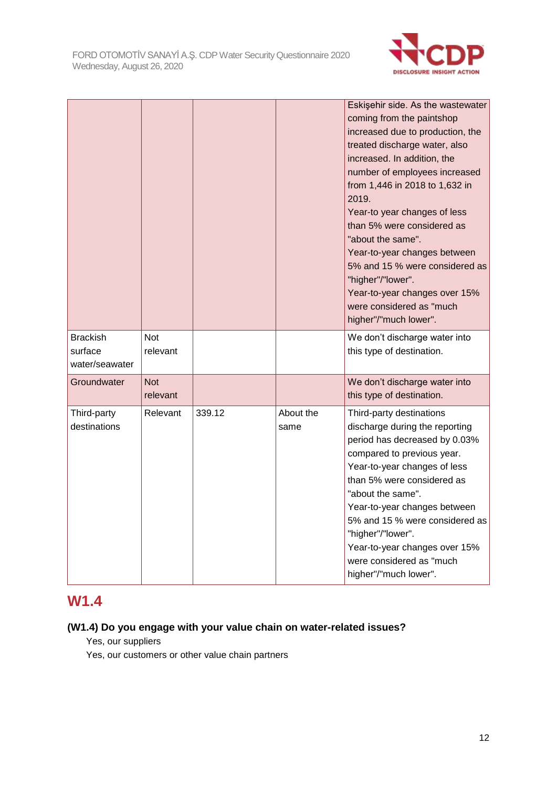

|                                              |                        |        |                   | Eskişehir side. As the wastewater<br>coming from the paintshop<br>increased due to production, the<br>treated discharge water, also<br>increased. In addition, the<br>number of employees increased<br>from 1,446 in 2018 to 1,632 in<br>2019.<br>Year-to year changes of less<br>than 5% were considered as<br>"about the same".<br>Year-to-year changes between<br>5% and 15 % were considered as<br>"higher"/"lower".<br>Year-to-year changes over 15%<br>were considered as "much<br>higher"/"much lower". |
|----------------------------------------------|------------------------|--------|-------------------|----------------------------------------------------------------------------------------------------------------------------------------------------------------------------------------------------------------------------------------------------------------------------------------------------------------------------------------------------------------------------------------------------------------------------------------------------------------------------------------------------------------|
| <b>Brackish</b><br>surface<br>water/seawater | <b>Not</b><br>relevant |        |                   | We don't discharge water into<br>this type of destination.                                                                                                                                                                                                                                                                                                                                                                                                                                                     |
| Groundwater                                  | <b>Not</b><br>relevant |        |                   | We don't discharge water into<br>this type of destination.                                                                                                                                                                                                                                                                                                                                                                                                                                                     |
| Third-party<br>destinations                  | Relevant               | 339.12 | About the<br>same | Third-party destinations<br>discharge during the reporting<br>period has decreased by 0.03%<br>compared to previous year.<br>Year-to-year changes of less<br>than 5% were considered as<br>"about the same".<br>Year-to-year changes between<br>5% and 15 % were considered as<br>"higher"/"lower".<br>Year-to-year changes over 15%<br>were considered as "much<br>higher"/"much lower".                                                                                                                      |

# **W1.4**

### **(W1.4) Do you engage with your value chain on water-related issues?**

Yes, our suppliers

Yes, our customers or other value chain partners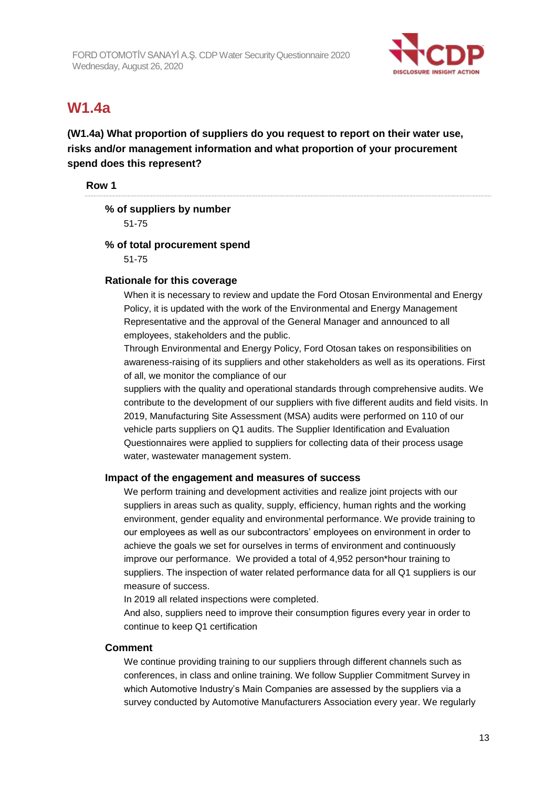

# **W1.4a**

**(W1.4a) What proportion of suppliers do you request to report on their water use, risks and/or management information and what proportion of your procurement spend does this represent?**

**Row 1**

### **% of suppliers by number**

51-75

### **% of total procurement spend**

51-75

### **Rationale for this coverage**

When it is necessary to review and update the Ford Otosan Environmental and Energy Policy, it is updated with the work of the Environmental and Energy Management Representative and the approval of the General Manager and announced to all employees, stakeholders and the public.

Through Environmental and Energy Policy, Ford Otosan takes on responsibilities on awareness-raising of its suppliers and other stakeholders as well as its operations. First of all, we monitor the compliance of our

suppliers with the quality and operational standards through comprehensive audits. We contribute to the development of our suppliers with five different audits and field visits. In 2019, Manufacturing Site Assessment (MSA) audits were performed on 110 of our vehicle parts suppliers on Q1 audits. The Supplier Identification and Evaluation Questionnaires were applied to suppliers for collecting data of their process usage water, wastewater management system.

### **Impact of the engagement and measures of success**

We perform training and development activities and realize joint projects with our suppliers in areas such as quality, supply, efficiency, human rights and the working environment, gender equality and environmental performance. We provide training to our employees as well as our subcontractors' employees on environment in order to achieve the goals we set for ourselves in terms of environment and continuously improve our performance. We provided a total of 4,952 person\*hour training to suppliers. The inspection of water related performance data for all Q1 suppliers is our measure of success.

In 2019 all related inspections were completed.

And also, suppliers need to improve their consumption figures every year in order to continue to keep Q1 certification

### **Comment**

We continue providing training to our suppliers through different channels such as conferences, in class and online training. We follow Supplier Commitment Survey in which Automotive Industry's Main Companies are assessed by the suppliers via a survey conducted by Automotive Manufacturers Association every year. We regularly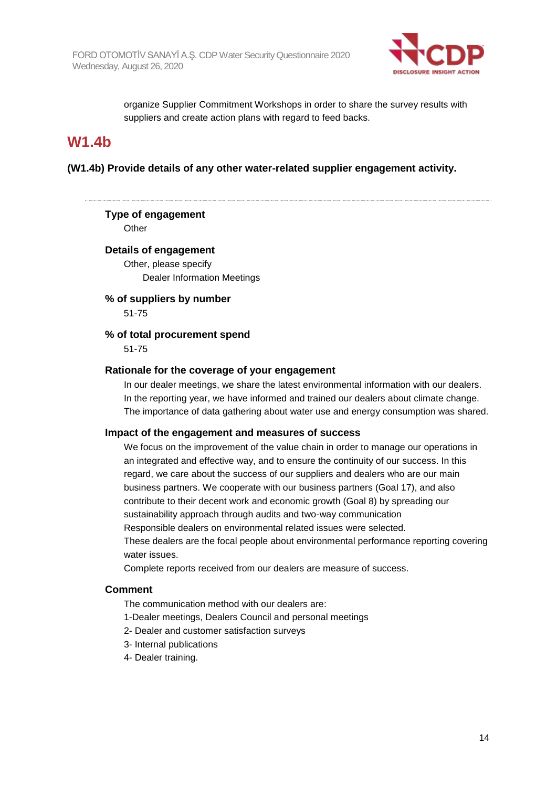

organize Supplier Commitment Workshops in order to share the survey results with suppliers and create action plans with regard to feed backs.

### **W1.4b**

**(W1.4b) Provide details of any other water-related supplier engagement activity.**

### **Type of engagement**

**Other** 

### **Details of engagement**

Other, please specify Dealer Information Meetings

#### **% of suppliers by number** 51-75

### **% of total procurement spend**

51-75

### **Rationale for the coverage of your engagement**

In our dealer meetings, we share the latest environmental information with our dealers. In the reporting year, we have informed and trained our dealers about climate change. The importance of data gathering about water use and energy consumption was shared.

### **Impact of the engagement and measures of success**

We focus on the improvement of the value chain in order to manage our operations in an integrated and effective way, and to ensure the continuity of our success. In this regard, we care about the success of our suppliers and dealers who are our main business partners. We cooperate with our business partners (Goal 17), and also contribute to their decent work and economic growth (Goal 8) by spreading our sustainability approach through audits and two-way communication Responsible dealers on environmental related issues were selected. These dealers are the focal people about environmental performance reporting covering water issues.

Complete reports received from our dealers are measure of success.

### **Comment**

The communication method with our dealers are:

- 1-Dealer meetings, Dealers Council and personal meetings
- 2- Dealer and customer satisfaction surveys
- 3- Internal publications
- 4- Dealer training.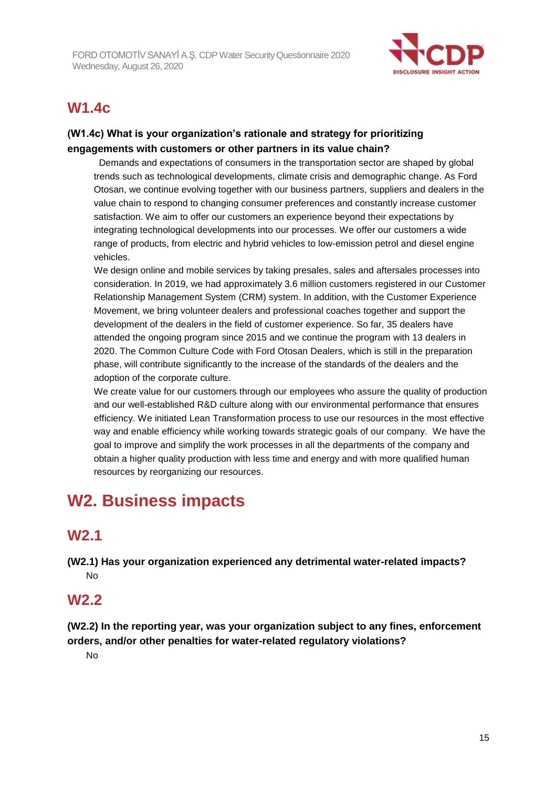

# **W1.4c**

### **(W1.4c) What is your organization's rationale and strategy for prioritizing engagements with customers or other partners in its value chain?**

 Demands and expectations of consumers in the transportation sector are shaped by global trends such as technological developments, climate crisis and demographic change. As Ford Otosan, we continue evolving together with our business partners, suppliers and dealers in the value chain to respond to changing consumer preferences and constantly increase customer satisfaction. We aim to offer our customers an experience beyond their expectations by integrating technological developments into our processes. We offer our customers a wide range of products, from electric and hybrid vehicles to low-emission petrol and diesel engine vehicles.

We design online and mobile services by taking presales, sales and aftersales processes into consideration. In 2019, we had approximately 3.6 million customers registered in our Customer Relationship Management System (CRM) system. In addition, with the Customer Experience Movement, we bring volunteer dealers and professional coaches together and support the development of the dealers in the field of customer experience. So far, 35 dealers have attended the ongoing program since 2015 and we continue the program with 13 dealers in 2020. The Common Culture Code with Ford Otosan Dealers, which is still in the preparation phase, will contribute significantly to the increase of the standards of the dealers and the adoption of the corporate culture.

We create value for our customers through our employees who assure the quality of production and our well-established R&D culture along with our environmental performance that ensures efficiency. We initiated Lean Transformation process to use our resources in the most effective way and enable efficiency while working towards strategic goals of our company. We have the goal to improve and simplify the work processes in all the departments of the company and obtain a higher quality production with less time and energy and with more qualified human resources by reorganizing our resources.

# **W2. Business impacts**

### **W2.1**

**(W2.1) Has your organization experienced any detrimental water-related impacts?** No

### **W2.2**

**(W2.2) In the reporting year, was your organization subject to any fines, enforcement orders, and/or other penalties for water-related regulatory violations?**

No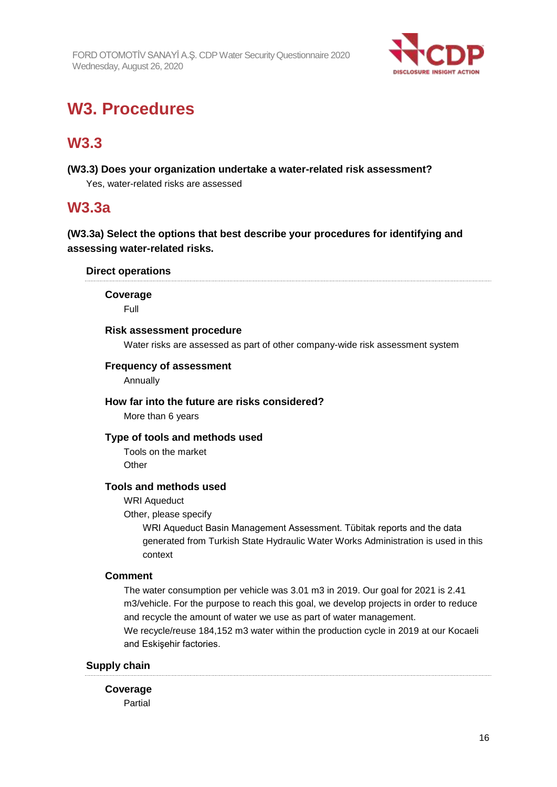

# **W3. Procedures**

# **W3.3**

**(W3.3) Does your organization undertake a water-related risk assessment?** Yes, water-related risks are assessed

## **W3.3a**

**(W3.3a) Select the options that best describe your procedures for identifying and assessing water-related risks.**

### **Direct operations**

**Coverage**

Full

### **Risk assessment procedure**

Water risks are assessed as part of other company-wide risk assessment system

### **Frequency of assessment**

Annually

### **How far into the future are risks considered?**

More than 6 years

### **Type of tools and methods used**

Tools on the market **Other** 

### **Tools and methods used**

WRI Aqueduct

Other, please specify

WRI Aqueduct Basin Management Assessment. Tübitak reports and the data generated from Turkish State Hydraulic Water Works Administration is used in this context

### **Comment**

The water consumption per vehicle was 3.01 m3 in 2019. Our goal for 2021 is 2.41 m3/vehicle. For the purpose to reach this goal, we develop projects in order to reduce and recycle the amount of water we use as part of water management. We recycle/reuse 184,152 m3 water within the production cycle in 2019 at our Kocaeli and Eskişehir factories.

### **Supply chain**

**Coverage** Partial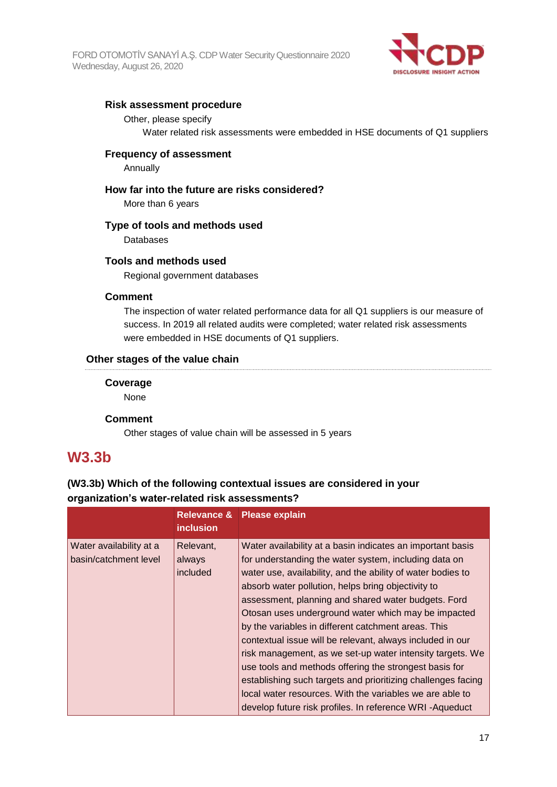

### **Risk assessment procedure**

### Other, please specify

Water related risk assessments were embedded in HSE documents of Q1 suppliers

### **Frequency of assessment**

Annually

### **How far into the future are risks considered?**

More than 6 years

### **Type of tools and methods used**

Databases

### **Tools and methods used**

Regional government databases

### **Comment**

The inspection of water related performance data for all Q1 suppliers is our measure of success. In 2019 all related audits were completed; water related risk assessments were embedded in HSE documents of Q1 suppliers.

### **Other stages of the value chain**

### **Coverage**

None

### **Comment**

Other stages of value chain will be assessed in 5 years

### **W3.3b**

### **(W3.3b) Which of the following contextual issues are considered in your organization's water-related risk assessments?**

|                                                  | <b>Relevance &amp;</b><br><i>inclusion</i> | <b>Please explain</b>                                                                                                                                                                                                                                                                                                                                                                                                                                                                                                                                                                                                                                                                                                                                                                    |
|--------------------------------------------------|--------------------------------------------|------------------------------------------------------------------------------------------------------------------------------------------------------------------------------------------------------------------------------------------------------------------------------------------------------------------------------------------------------------------------------------------------------------------------------------------------------------------------------------------------------------------------------------------------------------------------------------------------------------------------------------------------------------------------------------------------------------------------------------------------------------------------------------------|
| Water availability at a<br>basin/catchment level | Relevant,<br>always<br>included            | Water availability at a basin indicates an important basis<br>for understanding the water system, including data on<br>water use, availability, and the ability of water bodies to<br>absorb water pollution, helps bring objectivity to<br>assessment, planning and shared water budgets. Ford<br>Otosan uses underground water which may be impacted<br>by the variables in different catchment areas. This<br>contextual issue will be relevant, always included in our<br>risk management, as we set-up water intensity targets. We<br>use tools and methods offering the strongest basis for<br>establishing such targets and prioritizing challenges facing<br>local water resources. With the variables we are able to<br>develop future risk profiles. In reference WRI-Aqueduct |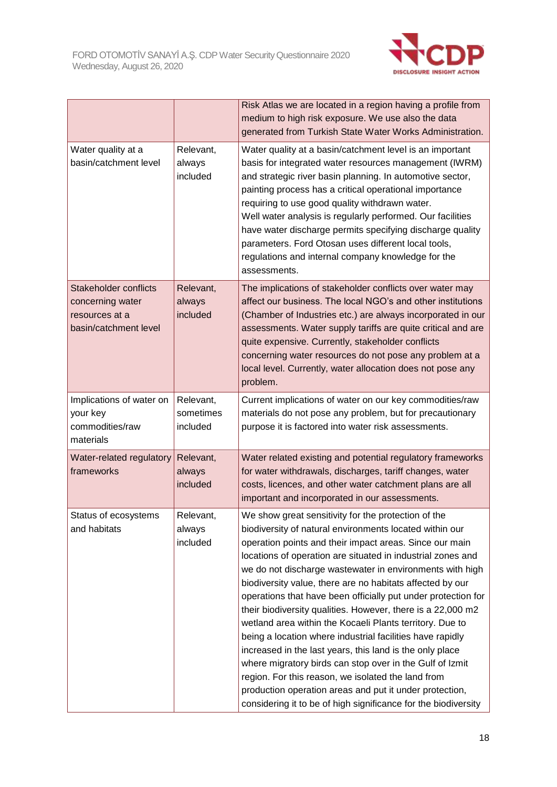

|                                                                                             |                                    | Risk Atlas we are located in a region having a profile from<br>medium to high risk exposure. We use also the data<br>generated from Turkish State Water Works Administration.                                                                                                                                                                                                                                                                                                                                                                                                                                                                                                                                                                                                                                                                                                                                                         |
|---------------------------------------------------------------------------------------------|------------------------------------|---------------------------------------------------------------------------------------------------------------------------------------------------------------------------------------------------------------------------------------------------------------------------------------------------------------------------------------------------------------------------------------------------------------------------------------------------------------------------------------------------------------------------------------------------------------------------------------------------------------------------------------------------------------------------------------------------------------------------------------------------------------------------------------------------------------------------------------------------------------------------------------------------------------------------------------|
| Water quality at a<br>basin/catchment level                                                 | Relevant,<br>always<br>included    | Water quality at a basin/catchment level is an important<br>basis for integrated water resources management (IWRM)<br>and strategic river basin planning. In automotive sector,<br>painting process has a critical operational importance<br>requiring to use good quality withdrawn water.<br>Well water analysis is regularly performed. Our facilities<br>have water discharge permits specifying discharge quality<br>parameters. Ford Otosan uses different local tools,<br>regulations and internal company knowledge for the<br>assessments.                                                                                                                                                                                                                                                                                                                                                                                   |
| <b>Stakeholder conflicts</b><br>concerning water<br>resources at a<br>basin/catchment level | Relevant,<br>always<br>included    | The implications of stakeholder conflicts over water may<br>affect our business. The local NGO's and other institutions<br>(Chamber of Industries etc.) are always incorporated in our<br>assessments. Water supply tariffs are quite critical and are<br>quite expensive. Currently, stakeholder conflicts<br>concerning water resources do not pose any problem at a<br>local level. Currently, water allocation does not pose any<br>problem.                                                                                                                                                                                                                                                                                                                                                                                                                                                                                      |
| Implications of water on<br>your key<br>commodities/raw<br>materials                        | Relevant,<br>sometimes<br>included | Current implications of water on our key commodities/raw<br>materials do not pose any problem, but for precautionary<br>purpose it is factored into water risk assessments.                                                                                                                                                                                                                                                                                                                                                                                                                                                                                                                                                                                                                                                                                                                                                           |
| Water-related regulatory<br>frameworks                                                      | Relevant,<br>always<br>included    | Water related existing and potential regulatory frameworks<br>for water withdrawals, discharges, tariff changes, water<br>costs, licences, and other water catchment plans are all<br>important and incorporated in our assessments.                                                                                                                                                                                                                                                                                                                                                                                                                                                                                                                                                                                                                                                                                                  |
| Status of ecosystems<br>and habitats                                                        | Relevant,<br>always<br>included    | We show great sensitivity for the protection of the<br>biodiversity of natural environments located within our<br>operation points and their impact areas. Since our main<br>locations of operation are situated in industrial zones and<br>we do not discharge wastewater in environments with high<br>biodiversity value, there are no habitats affected by our<br>operations that have been officially put under protection for<br>their biodiversity qualities. However, there is a 22,000 m2<br>wetland area within the Kocaeli Plants territory. Due to<br>being a location where industrial facilities have rapidly<br>increased in the last years, this land is the only place<br>where migratory birds can stop over in the Gulf of Izmit<br>region. For this reason, we isolated the land from<br>production operation areas and put it under protection,<br>considering it to be of high significance for the biodiversity |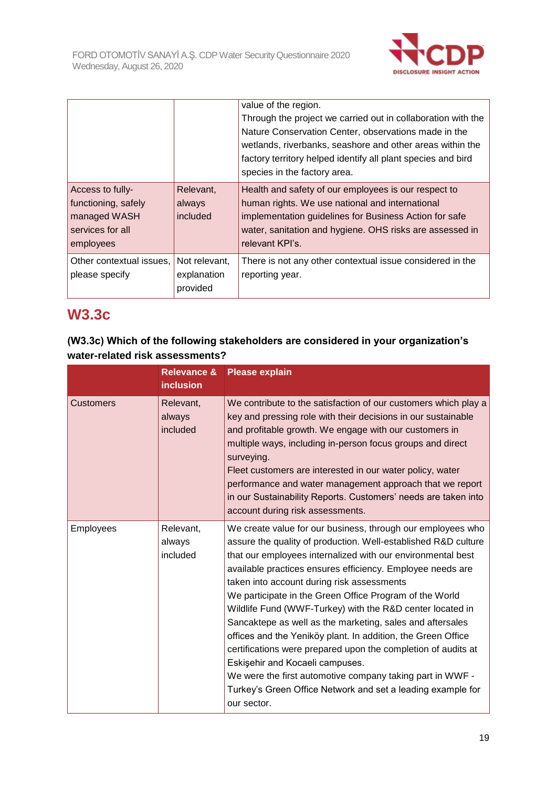

|                                                                                          |                                          | value of the region.<br>Through the project we carried out in collaboration with the<br>Nature Conservation Center, observations made in the<br>wetlands, riverbanks, seashore and other areas within the<br>factory territory helped identify all plant species and bird<br>species in the factory area. |
|------------------------------------------------------------------------------------------|------------------------------------------|-----------------------------------------------------------------------------------------------------------------------------------------------------------------------------------------------------------------------------------------------------------------------------------------------------------|
| Access to fully-<br>functioning, safely<br>managed WASH<br>services for all<br>employees | Relevant,<br>always<br>included          | Health and safety of our employees is our respect to<br>human rights. We use national and international<br>implementation guidelines for Business Action for safe<br>water, sanitation and hygiene. OHS risks are assessed in<br>relevant KPI's.                                                          |
| Other contextual issues,<br>please specify                                               | Not relevant,<br>explanation<br>provided | There is not any other contextual issue considered in the<br>reporting year.                                                                                                                                                                                                                              |

# **W3.3c**

| (W3.3c) Which of the following stakeholders are considered in your organization's |  |
|-----------------------------------------------------------------------------------|--|
| water-related risk assessments?                                                   |  |

|                  | <b>Relevance &amp;</b><br><b>inclusion</b> | <b>Please explain</b>                                                                                                                                                                                                                                                                                                                                                                                                                                                                                                                                                                                                                                                                                                                                                                                        |
|------------------|--------------------------------------------|--------------------------------------------------------------------------------------------------------------------------------------------------------------------------------------------------------------------------------------------------------------------------------------------------------------------------------------------------------------------------------------------------------------------------------------------------------------------------------------------------------------------------------------------------------------------------------------------------------------------------------------------------------------------------------------------------------------------------------------------------------------------------------------------------------------|
| <b>Customers</b> | Relevant,<br>always<br>included            | We contribute to the satisfaction of our customers which play a<br>key and pressing role with their decisions in our sustainable<br>and profitable growth. We engage with our customers in<br>multiple ways, including in-person focus groups and direct<br>surveying.<br>Fleet customers are interested in our water policy, water<br>performance and water management approach that we report<br>in our Sustainability Reports. Customers' needs are taken into<br>account during risk assessments.                                                                                                                                                                                                                                                                                                        |
| Employees        | Relevant,<br>always<br>included            | We create value for our business, through our employees who<br>assure the quality of production. Well-established R&D culture<br>that our employees internalized with our environmental best<br>available practices ensures efficiency. Employee needs are<br>taken into account during risk assessments<br>We participate in the Green Office Program of the World<br>Wildlife Fund (WWF-Turkey) with the R&D center located in<br>Sancaktepe as well as the marketing, sales and aftersales<br>offices and the Yeniköy plant. In addition, the Green Office<br>certifications were prepared upon the completion of audits at<br>Eskişehir and Kocaeli campuses.<br>We were the first automotive company taking part in WWF -<br>Turkey's Green Office Network and set a leading example for<br>our sector. |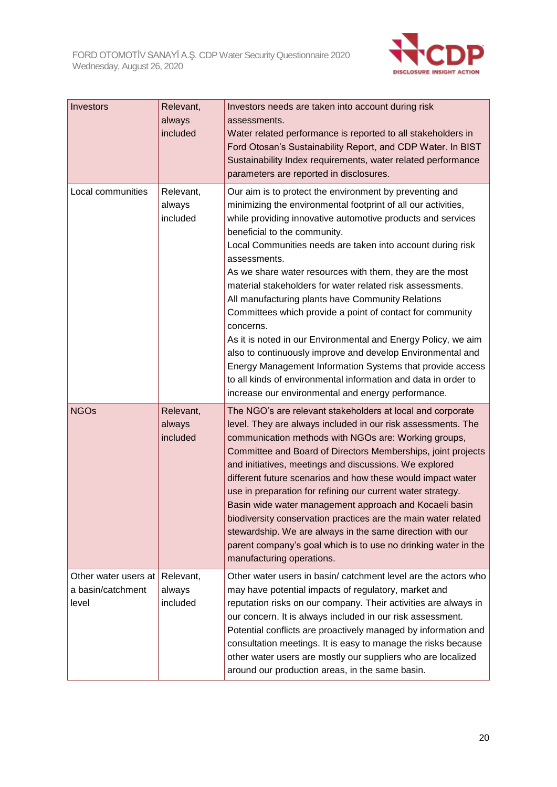

| Investors                                          | Relevant,<br>always<br>included | Investors needs are taken into account during risk<br>assessments.<br>Water related performance is reported to all stakeholders in<br>Ford Otosan's Sustainability Report, and CDP Water. In BIST<br>Sustainability Index requirements, water related performance<br>parameters are reported in disclosures.                                                                                                                                                                                                                                                                                                                                                                                                                                                                                                                                                                      |
|----------------------------------------------------|---------------------------------|-----------------------------------------------------------------------------------------------------------------------------------------------------------------------------------------------------------------------------------------------------------------------------------------------------------------------------------------------------------------------------------------------------------------------------------------------------------------------------------------------------------------------------------------------------------------------------------------------------------------------------------------------------------------------------------------------------------------------------------------------------------------------------------------------------------------------------------------------------------------------------------|
| Local communities                                  | Relevant,<br>always<br>included | Our aim is to protect the environment by preventing and<br>minimizing the environmental footprint of all our activities,<br>while providing innovative automotive products and services<br>beneficial to the community.<br>Local Communities needs are taken into account during risk<br>assessments.<br>As we share water resources with them, they are the most<br>material stakeholders for water related risk assessments.<br>All manufacturing plants have Community Relations<br>Committees which provide a point of contact for community<br>concerns.<br>As it is noted in our Environmental and Energy Policy, we aim<br>also to continuously improve and develop Environmental and<br>Energy Management Information Systems that provide access<br>to all kinds of environmental information and data in order to<br>increase our environmental and energy performance. |
| <b>NGOs</b>                                        | Relevant,<br>always<br>included | The NGO's are relevant stakeholders at local and corporate<br>level. They are always included in our risk assessments. The<br>communication methods with NGOs are: Working groups,<br>Committee and Board of Directors Memberships, joint projects<br>and initiatives, meetings and discussions. We explored<br>different future scenarios and how these would impact water<br>use in preparation for refining our current water strategy.<br>Basin wide water management approach and Kocaeli basin<br>biodiversity conservation practices are the main water related<br>stewardship. We are always in the same direction with our<br>parent company's goal which is to use no drinking water in the<br>manufacturing operations.                                                                                                                                                |
| Other water users at<br>a basin/catchment<br>level | Relevant,<br>always<br>included | Other water users in basin/ catchment level are the actors who<br>may have potential impacts of regulatory, market and<br>reputation risks on our company. Their activities are always in<br>our concern. It is always included in our risk assessment.<br>Potential conflicts are proactively managed by information and<br>consultation meetings. It is easy to manage the risks because<br>other water users are mostly our suppliers who are localized<br>around our production areas, in the same basin.                                                                                                                                                                                                                                                                                                                                                                     |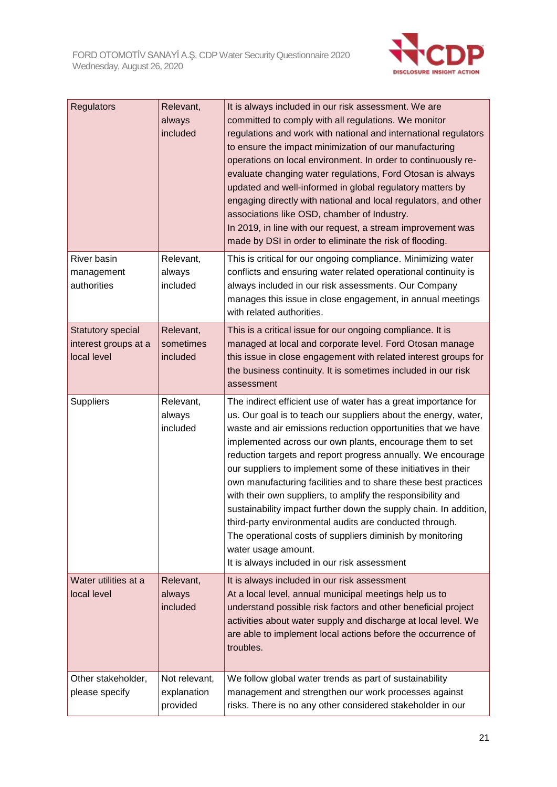

| <b>Regulators</b>                                        | Relevant,<br>always<br>included          | It is always included in our risk assessment. We are<br>committed to comply with all regulations. We monitor<br>regulations and work with national and international regulators<br>to ensure the impact minimization of our manufacturing<br>operations on local environment. In order to continuously re-<br>evaluate changing water regulations, Ford Otosan is always<br>updated and well-informed in global regulatory matters by<br>engaging directly with national and local regulators, and other<br>associations like OSD, chamber of Industry.<br>In 2019, in line with our request, a stream improvement was<br>made by DSI in order to eliminate the risk of flooding.                                                                                                                   |
|----------------------------------------------------------|------------------------------------------|-----------------------------------------------------------------------------------------------------------------------------------------------------------------------------------------------------------------------------------------------------------------------------------------------------------------------------------------------------------------------------------------------------------------------------------------------------------------------------------------------------------------------------------------------------------------------------------------------------------------------------------------------------------------------------------------------------------------------------------------------------------------------------------------------------|
| River basin<br>management<br>authorities                 | Relevant,<br>always<br>included          | This is critical for our ongoing compliance. Minimizing water<br>conflicts and ensuring water related operational continuity is<br>always included in our risk assessments. Our Company<br>manages this issue in close engagement, in annual meetings<br>with related authorities.                                                                                                                                                                                                                                                                                                                                                                                                                                                                                                                  |
| Statutory special<br>interest groups at a<br>local level | Relevant,<br>sometimes<br>included       | This is a critical issue for our ongoing compliance. It is<br>managed at local and corporate level. Ford Otosan manage<br>this issue in close engagement with related interest groups for<br>the business continuity. It is sometimes included in our risk<br>assessment                                                                                                                                                                                                                                                                                                                                                                                                                                                                                                                            |
| <b>Suppliers</b>                                         | Relevant,<br>always<br>included          | The indirect efficient use of water has a great importance for<br>us. Our goal is to teach our suppliers about the energy, water,<br>waste and air emissions reduction opportunities that we have<br>implemented across our own plants, encourage them to set<br>reduction targets and report progress annually. We encourage<br>our suppliers to implement some of these initiatives in their<br>own manufacturing facilities and to share these best practices<br>with their own suppliers, to amplify the responsibility and<br>sustainability impact further down the supply chain. In addition,<br>third-party environmental audits are conducted through.<br>The operational costs of suppliers diminish by monitoring<br>water usage amount.<br>It is always included in our risk assessment |
| Water utilities at a<br>local level                      | Relevant,<br>always<br>included          | It is always included in our risk assessment<br>At a local level, annual municipal meetings help us to<br>understand possible risk factors and other beneficial project<br>activities about water supply and discharge at local level. We<br>are able to implement local actions before the occurrence of<br>troubles.                                                                                                                                                                                                                                                                                                                                                                                                                                                                              |
| Other stakeholder,<br>please specify                     | Not relevant,<br>explanation<br>provided | We follow global water trends as part of sustainability<br>management and strengthen our work processes against<br>risks. There is no any other considered stakeholder in our                                                                                                                                                                                                                                                                                                                                                                                                                                                                                                                                                                                                                       |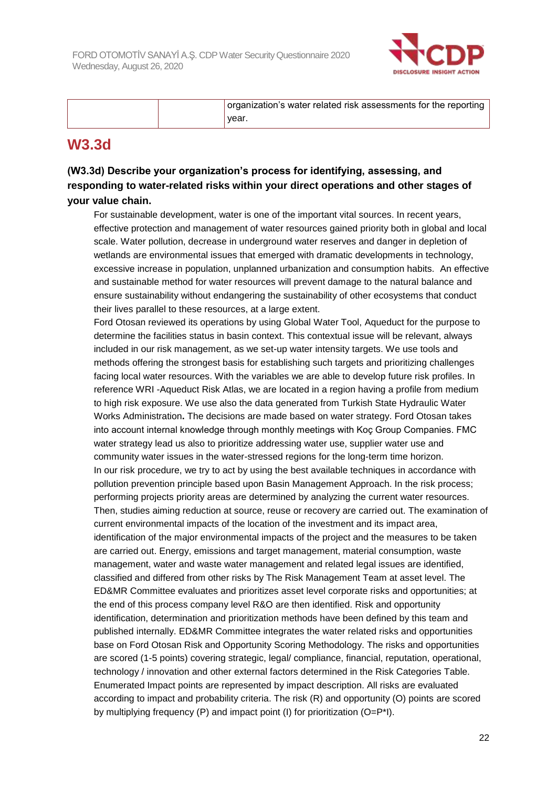

|  | organization's water related risk assessments for the reporting |
|--|-----------------------------------------------------------------|
|  | vear.                                                           |

# **W3.3d**

### **(W3.3d) Describe your organization's process for identifying, assessing, and responding to water-related risks within your direct operations and other stages of your value chain.**

For sustainable development, water is one of the important vital sources. In recent years, effective protection and management of water resources gained priority both in global and local scale. Water pollution, decrease in underground water reserves and danger in depletion of wetlands are environmental issues that emerged with dramatic developments in technology, excessive increase in population, unplanned urbanization and consumption habits. An effective and sustainable method for water resources will prevent damage to the natural balance and ensure sustainability without endangering the sustainability of other ecosystems that conduct their lives parallel to these resources, at a large extent.

Ford Otosan reviewed its operations by using Global Water Tool, Aqueduct for the purpose to determine the facilities status in basin context. This contextual issue will be relevant, always included in our risk management, as we set-up water intensity targets. We use tools and methods offering the strongest basis for establishing such targets and prioritizing challenges facing local water resources. With the variables we are able to develop future risk profiles. In reference WRI -Aqueduct Risk Atlas, we are located in a region having a profile from medium to high risk exposure. We use also the data generated from Turkish State Hydraulic Water Works Administration**.** The decisions are made based on water strategy. Ford Otosan takes into account internal knowledge through monthly meetings with Koç Group Companies. FMC water strategy lead us also to prioritize addressing water use, supplier water use and community water issues in the water-stressed regions for the long-term time horizon. In our risk procedure, we try to act by using the best available techniques in accordance with pollution prevention principle based upon Basin Management Approach. In the risk process; performing projects priority areas are determined by analyzing the current water resources. Then, studies aiming reduction at source, reuse or recovery are carried out. The examination of current environmental impacts of the location of the investment and its impact area, identification of the major environmental impacts of the project and the measures to be taken are carried out. Energy, emissions and target management, material consumption, waste management, water and waste water management and related legal issues are identified, classified and differed from other risks by The Risk Management Team at asset level. The ED&MR Committee evaluates and prioritizes asset level corporate risks and opportunities; at the end of this process company level R&O are then identified. Risk and opportunity identification, determination and prioritization methods have been defined by this team and published internally. ED&MR Committee integrates the water related risks and opportunities base on Ford Otosan Risk and Opportunity Scoring Methodology. The risks and opportunities are scored (1-5 points) covering strategic, legal/ compliance, financial, reputation, operational, technology / innovation and other external factors determined in the Risk Categories Table. Enumerated Impact points are represented by impact description. All risks are evaluated according to impact and probability criteria. The risk (R) and opportunity (O) points are scored by multiplying frequency (P) and impact point (I) for prioritization (O=P\*I).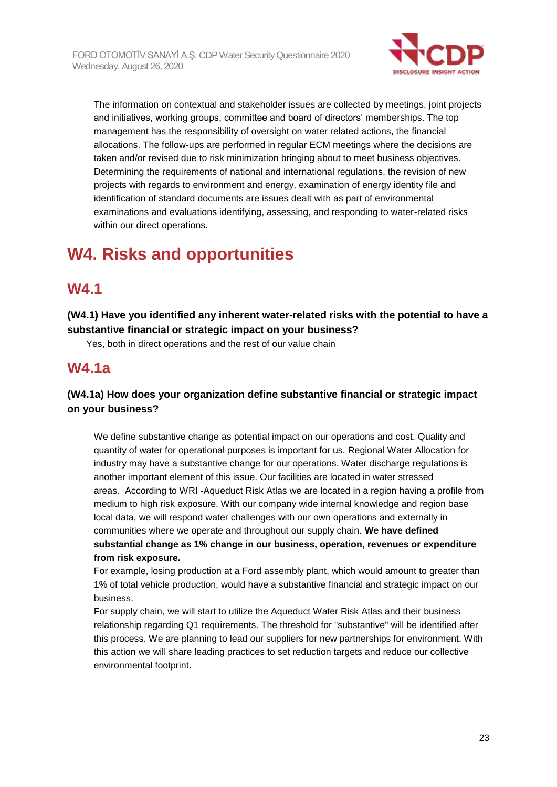

The information on contextual and stakeholder issues are collected by meetings, joint projects and initiatives, working groups, committee and board of directors' memberships. The top management has the responsibility of oversight on water related actions, the financial allocations. The follow-ups are performed in regular ECM meetings where the decisions are taken and/or revised due to risk minimization bringing about to meet business objectives. Determining the requirements of national and international regulations, the revision of new projects with regards to environment and energy, examination of energy identity file and identification of standard documents are issues dealt with as part of environmental examinations and evaluations identifying, assessing, and responding to water-related risks within our direct operations.

# **W4. Risks and opportunities**

## **W4.1**

**(W4.1) Have you identified any inherent water-related risks with the potential to have a substantive financial or strategic impact on your business?**

Yes, both in direct operations and the rest of our value chain

# **W4.1a**

### **(W4.1a) How does your organization define substantive financial or strategic impact on your business?**

We define substantive change as potential impact on our operations and cost. Quality and quantity of water for operational purposes is important for us. Regional Water Allocation for industry may have a substantive change for our operations. Water discharge regulations is another important element of this issue. Our facilities are located in water stressed areas. According to WRI -Aqueduct Risk Atlas we are located in a region having a profile from medium to high risk exposure. With our company wide internal knowledge and region base local data, we will respond water challenges with our own operations and externally in communities where we operate and throughout our supply chain. **We have defined substantial change as 1% change in our business, operation, revenues or expenditure from risk exposure.**

For example, losing production at a Ford assembly plant, which would amount to greater than 1% of total vehicle production, would have a substantive financial and strategic impact on our business.

For supply chain, we will start to utilize the Aqueduct Water Risk Atlas and their business relationship regarding Q1 requirements. The threshold for "substantive" will be identified after this process. We are planning to lead our suppliers for new partnerships for environment. With this action we will share leading practices to set reduction targets and reduce our collective environmental footprint.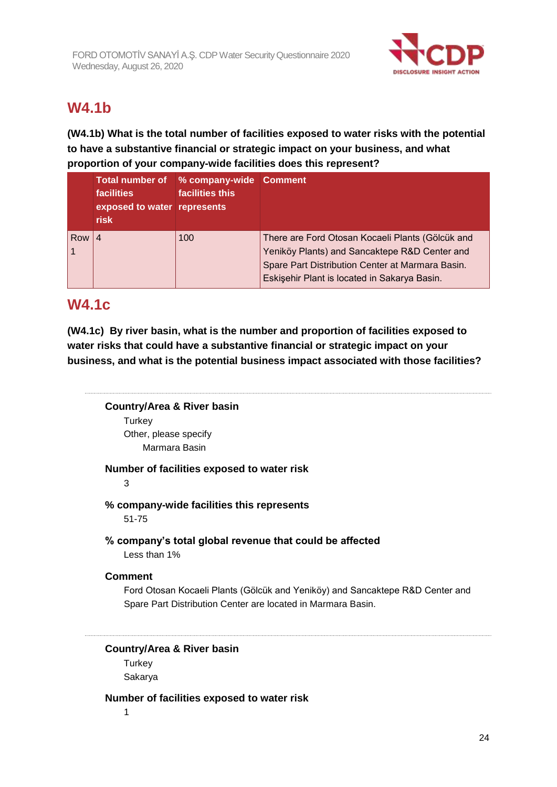

# **W4.1b**

**(W4.1b) What is the total number of facilities exposed to water risks with the potential to have a substantive financial or strategic impact on your business, and what proportion of your company-wide facilities does this represent?**

|     | <b>Total number of</b><br><b>facilities</b><br>exposed to water represents<br><b>risk</b> | % company-wide Comment<br>facilities this |                                                                                                                                                                                                       |
|-----|-------------------------------------------------------------------------------------------|-------------------------------------------|-------------------------------------------------------------------------------------------------------------------------------------------------------------------------------------------------------|
| Row |                                                                                           | 100                                       | There are Ford Otosan Kocaeli Plants (Gölcük and<br>Yeniköy Plants) and Sancaktepe R&D Center and<br>Spare Part Distribution Center at Marmara Basin.<br>Eskişehir Plant is located in Sakarya Basin. |

## **W4.1c**

**(W4.1c) By river basin, what is the number and proportion of facilities exposed to water risks that could have a substantive financial or strategic impact on your business, and what is the potential business impact associated with those facilities?**

### **Country/Area & River basin Turkey** Other, please specify Marmara Basin

**Number of facilities exposed to water risk**

3

### **% company-wide facilities this represents**

51-75

### **% company's total global revenue that could be affected**

Less than 1%

### **Comment**

Ford Otosan Kocaeli Plants (Gölcük and Yeniköy) and Sancaktepe R&D Center and Spare Part Distribution Center are located in Marmara Basin.

**Country/Area & River basin**

**Turkey** Sakarya

### **Number of facilities exposed to water risk**

1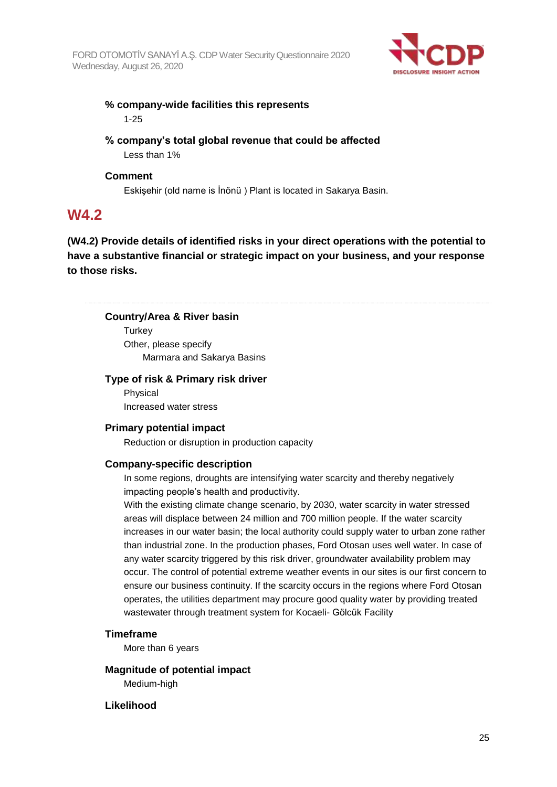

### **% company-wide facilities this represents** 1-25

### **% company's total global revenue that could be affected** Less than 1%

### **Comment**

Eskişehir (old name is İnönü ) Plant is located in Sakarya Basin.

## **W4.2**

**(W4.2) Provide details of identified risks in your direct operations with the potential to have a substantive financial or strategic impact on your business, and your response to those risks.**

### **Country/Area & River basin**

**Turkey** Other, please specify Marmara and Sakarya Basins

### **Type of risk & Primary risk driver**

Physical Increased water stress

### **Primary potential impact**

Reduction or disruption in production capacity

### **Company-specific description**

In some regions, droughts are intensifying water scarcity and thereby negatively impacting people's health and productivity.

With the existing climate change scenario, by 2030, water scarcity in water stressed areas will displace between 24 million and 700 million people. If the water scarcity increases in our water basin; the local authority could supply water to urban zone rather than industrial zone. In the production phases, Ford Otosan uses well water. In case of any water scarcity triggered by this risk driver, groundwater availability problem may occur. The control of potential extreme weather events in our sites is our first concern to ensure our business continuity. If the scarcity occurs in the regions where Ford Otosan operates, the utilities department may procure good quality water by providing treated wastewater through treatment system for Kocaeli- Gölcük Facility

### **Timeframe**

More than 6 years

**Magnitude of potential impact** Medium-high

### **Likelihood**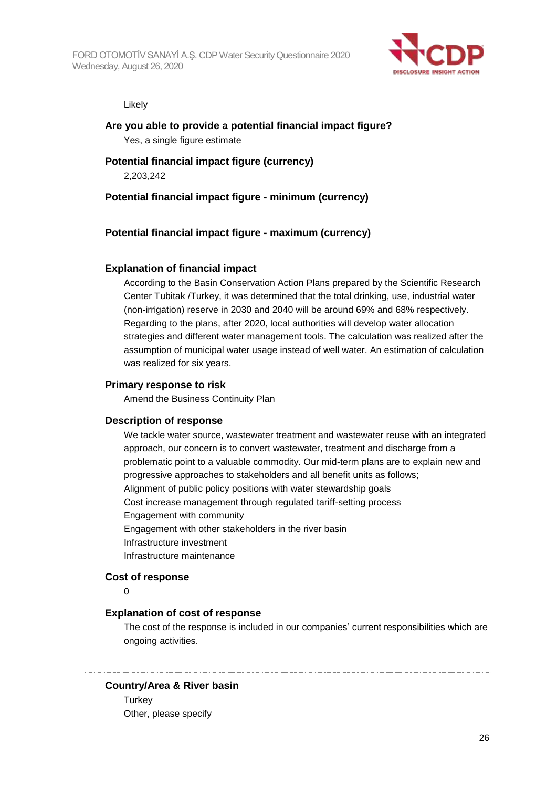

#### Likely

# **Are you able to provide a potential financial impact figure?**

Yes, a single figure estimate

### **Potential financial impact figure (currency)**

2,203,242

### **Potential financial impact figure - minimum (currency)**

### **Potential financial impact figure - maximum (currency)**

### **Explanation of financial impact**

According to the Basin Conservation Action Plans prepared by the Scientific Research Center Tubitak /Turkey, it was determined that the total drinking, use, industrial water (non-irrigation) reserve in 2030 and 2040 will be around 69% and 68% respectively. Regarding to the plans, after 2020, local authorities will develop water allocation strategies and different water management tools. The calculation was realized after the assumption of municipal water usage instead of well water. An estimation of calculation was realized for six years.

### **Primary response to risk**

Amend the Business Continuity Plan

### **Description of response**

We tackle water source, wastewater treatment and wastewater reuse with an integrated approach, our concern is to convert wastewater, treatment and discharge from a problematic point to a valuable commodity. Our mid-term plans are to explain new and progressive approaches to stakeholders and all benefit units as follows; Alignment of public policy positions with water stewardship goals Cost increase management through regulated tariff-setting process Engagement with community Engagement with other stakeholders in the river basin Infrastructure investment Infrastructure maintenance

### **Cost of response**

 $\Omega$ 

### **Explanation of cost of response**

The cost of the response is included in our companies' current responsibilities which are ongoing activities.

### **Country/Area & River basin**

**Turkey** Other, please specify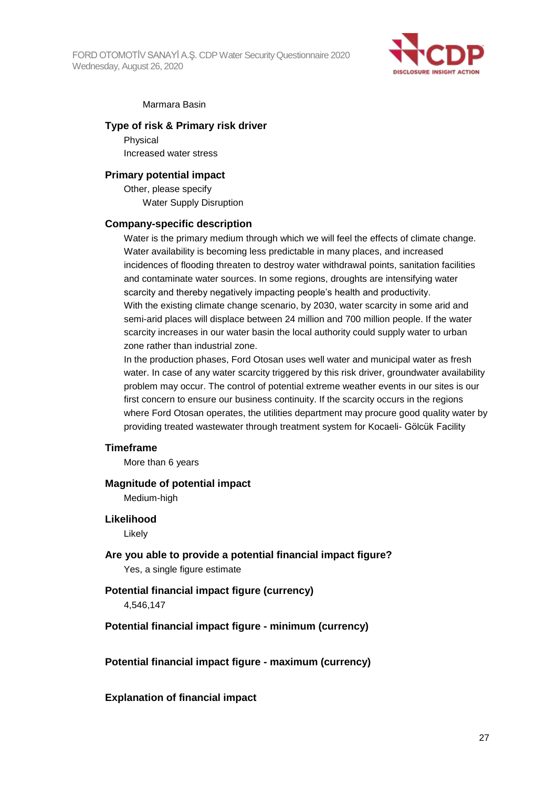FORD OTOMOTİV SANAYİ A.Ş. CDP Water Security Questionnaire 2020 Wednesday, August 26, 2020



#### Marmara Basin

#### **Type of risk & Primary risk driver**

Physical Increased water stress

#### **Primary potential impact**

Other, please specify Water Supply Disruption

#### **Company-specific description**

Water is the primary medium through which we will feel the effects of climate change. Water availability is becoming less predictable in many places, and increased incidences of flooding threaten to destroy water withdrawal points, sanitation facilities and contaminate water sources. In some regions, droughts are intensifying water scarcity and thereby negatively impacting people's health and productivity. With the existing climate change scenario, by 2030, water scarcity in some arid and semi-arid places will displace between 24 million and 700 million people. If the water scarcity increases in our water basin the local authority could supply water to urban zone rather than industrial zone.

In the production phases, Ford Otosan uses well water and municipal water as fresh water. In case of any water scarcity triggered by this risk driver, groundwater availability problem may occur. The control of potential extreme weather events in our sites is our first concern to ensure our business continuity. If the scarcity occurs in the regions where Ford Otosan operates, the utilities department may procure good quality water by providing treated wastewater through treatment system for Kocaeli- Gölcük Facility

#### **Timeframe**

More than 6 years

#### **Magnitude of potential impact**

Medium-high

#### **Likelihood**

Likely

**Are you able to provide a potential financial impact figure?** Yes, a single figure estimate

#### **Potential financial impact figure (currency)**

4,546,147

#### **Potential financial impact figure - minimum (currency)**

**Potential financial impact figure - maximum (currency)**

#### **Explanation of financial impact**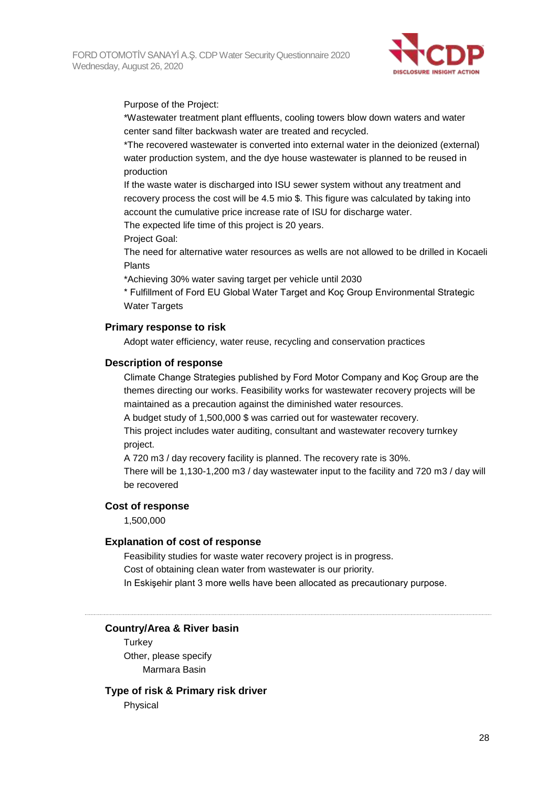

Purpose of the Project:

\*Wastewater treatment plant effluents, cooling towers blow down waters and water center sand filter backwash water are treated and recycled.

\*The recovered wastewater is converted into external water in the deionized (external) water production system, and the dye house wastewater is planned to be reused in production

If the waste water is discharged into ISU sewer system without any treatment and recovery process the cost will be 4.5 mio \$. This figure was calculated by taking into account the cumulative price increase rate of ISU for discharge water.

The expected life time of this project is 20 years.

Project Goal:

The need for alternative water resources as wells are not allowed to be drilled in Kocaeli Plants

\*Achieving 30% water saving target per vehicle until 2030

\* Fulfillment of Ford EU Global Water Target and Koç Group Environmental Strategic Water Targets

### **Primary response to risk**

Adopt water efficiency, water reuse, recycling and conservation practices

### **Description of response**

Climate Change Strategies published by Ford Motor Company and Koç Group are the themes directing our works. Feasibility works for wastewater recovery projects will be maintained as a precaution against the diminished water resources.

A budget study of 1,500,000 \$ was carried out for wastewater recovery.

This project includes water auditing, consultant and wastewater recovery turnkey project.

A 720 m3 / day recovery facility is planned. The recovery rate is 30%.

There will be 1,130-1,200 m3 / day wastewater input to the facility and 720 m3 / day will be recovered

### **Cost of response**

1,500,000

### **Explanation of cost of response**

Feasibility studies for waste water recovery project is in progress.

Cost of obtaining clean water from wastewater is our priority.

In Eskişehir plant 3 more wells have been allocated as precautionary purpose.

### **Country/Area & River basin**

**Turkey** Other, please specify Marmara Basin

### **Type of risk & Primary risk driver**

Physical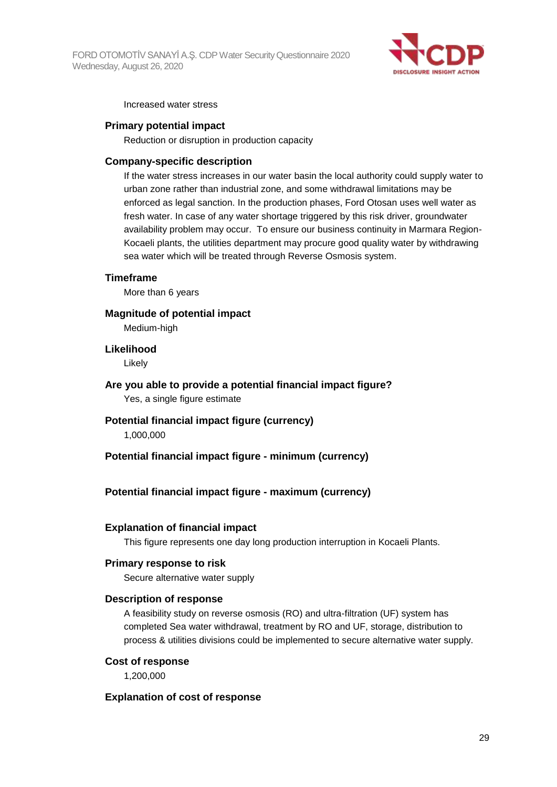

Increased water stress

### **Primary potential impact**

Reduction or disruption in production capacity

#### **Company-specific description**

If the water stress increases in our water basin the local authority could supply water to urban zone rather than industrial zone, and some withdrawal limitations may be enforced as legal sanction. In the production phases, Ford Otosan uses well water as fresh water. In case of any water shortage triggered by this risk driver, groundwater availability problem may occur. To ensure our business continuity in Marmara Region-Kocaeli plants, the utilities department may procure good quality water by withdrawing sea water which will be treated through Reverse Osmosis system.

#### **Timeframe**

More than 6 years

**Magnitude of potential impact**

Medium-high

#### **Likelihood**

Likely

- **Are you able to provide a potential financial impact figure?** Yes, a single figure estimate
- **Potential financial impact figure (currency)** 1,000,000

**Potential financial impact figure - minimum (currency)**

### **Potential financial impact figure - maximum (currency)**

### **Explanation of financial impact**

This figure represents one day long production interruption in Kocaeli Plants.

### **Primary response to risk**

Secure alternative water supply

#### **Description of response**

A feasibility study on reverse osmosis (RO) and ultra-filtration (UF) system has completed Sea water withdrawal, treatment by RO and UF, storage, distribution to process & utilities divisions could be implemented to secure alternative water supply.

### **Cost of response**

1,200,000

### **Explanation of cost of response**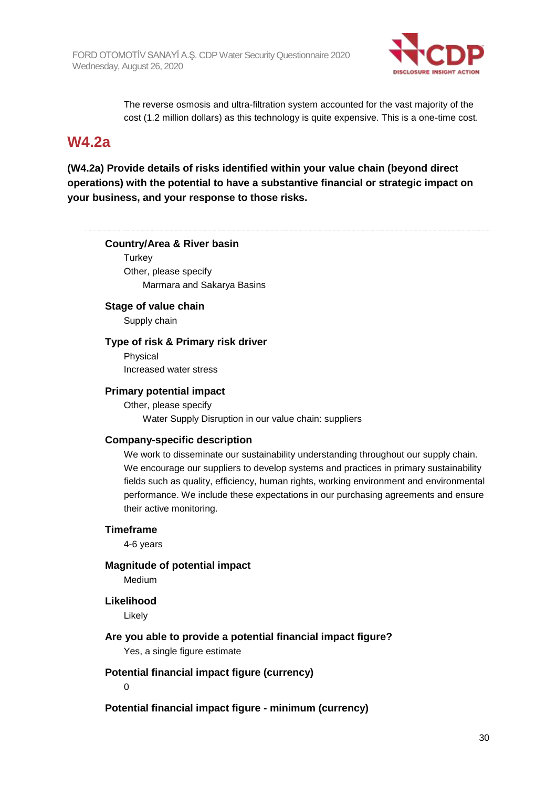

The reverse osmosis and ultra-filtration system accounted for the vast majority of the cost (1.2 million dollars) as this technology is quite expensive. This is a one-time cost.

### **W4.2a**

**(W4.2a) Provide details of risks identified within your value chain (beyond direct operations) with the potential to have a substantive financial or strategic impact on your business, and your response to those risks.**

### **Country/Area & River basin**

**Turkey** Other, please specify Marmara and Sakarya Basins

### **Stage of value chain**

Supply chain

### **Type of risk & Primary risk driver**

Physical Increased water stress

### **Primary potential impact**

Other, please specify Water Supply Disruption in our value chain: suppliers

### **Company-specific description**

We work to disseminate our sustainability understanding throughout our supply chain. We encourage our suppliers to develop systems and practices in primary sustainability fields such as quality, efficiency, human rights, working environment and environmental performance. We include these expectations in our purchasing agreements and ensure their active monitoring.

### **Timeframe**

4-6 years

**Magnitude of potential impact**

Medium

### **Likelihood**

Likely

### **Are you able to provide a potential financial impact figure?**

Yes, a single figure estimate

### **Potential financial impact figure (currency)**

 $\Omega$ 

**Potential financial impact figure - minimum (currency)**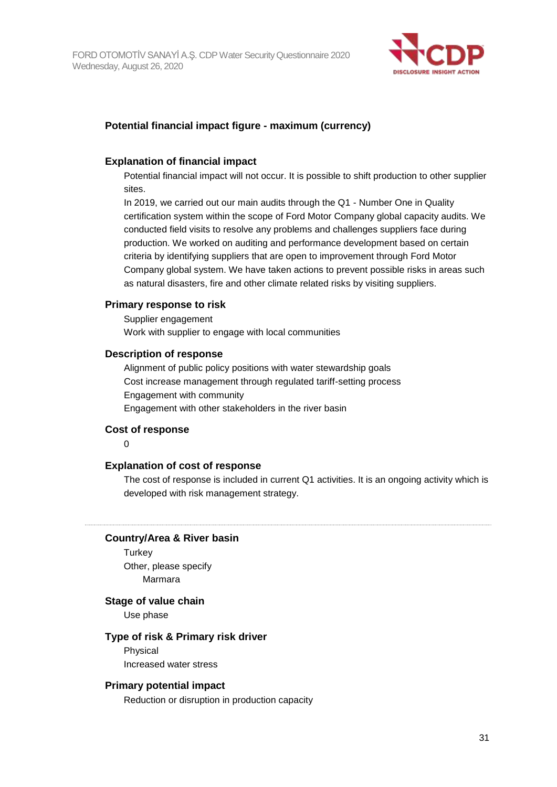

### **Potential financial impact figure - maximum (currency)**

### **Explanation of financial impact**

Potential financial impact will not occur. It is possible to shift production to other supplier sites.

In 2019, we carried out our main audits through the Q1 - Number One in Quality certification system within the scope of Ford Motor Company global capacity audits. We conducted field visits to resolve any problems and challenges suppliers face during production. We worked on auditing and performance development based on certain criteria by identifying suppliers that are open to improvement through Ford Motor Company global system. We have taken actions to prevent possible risks in areas such as natural disasters, fire and other climate related risks by visiting suppliers.

### **Primary response to risk**

Supplier engagement Work with supplier to engage with local communities

### **Description of response**

Alignment of public policy positions with water stewardship goals Cost increase management through regulated tariff-setting process Engagement with community Engagement with other stakeholders in the river basin

### **Cost of response**

 $\Omega$ 

### **Explanation of cost of response**

The cost of response is included in current Q1 activities. It is an ongoing activity which is developed with risk management strategy.

### **Country/Area & River basin**

**Turkey** Other, please specify Marmara

### **Stage of value chain**

Use phase

### **Type of risk & Primary risk driver**

Physical

Increased water stress

### **Primary potential impact**

Reduction or disruption in production capacity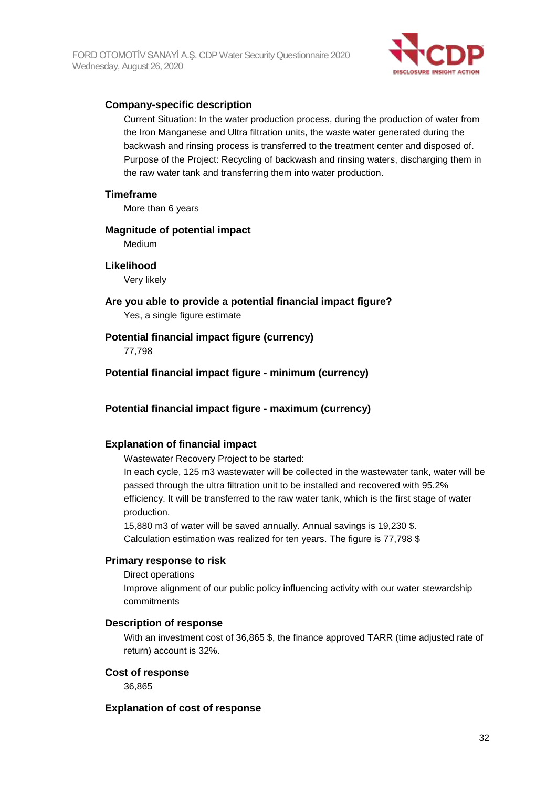

### **Company-specific description**

Current Situation: In the water production process, during the production of water from the Iron Manganese and Ultra filtration units, the waste water generated during the backwash and rinsing process is transferred to the treatment center and disposed of. Purpose of the Project: Recycling of backwash and rinsing waters, discharging them in the raw water tank and transferring them into water production.

### **Timeframe**

More than 6 years

### **Magnitude of potential impact**

Medium

### **Likelihood**

Very likely

**Are you able to provide a potential financial impact figure?**

Yes, a single figure estimate

### **Potential financial impact figure (currency)**

77,798

**Potential financial impact figure - minimum (currency)**

### **Potential financial impact figure - maximum (currency)**

### **Explanation of financial impact**

Wastewater Recovery Project to be started:

In each cycle, 125 m3 wastewater will be collected in the wastewater tank, water will be passed through the ultra filtration unit to be installed and recovered with 95.2% efficiency. It will be transferred to the raw water tank, which is the first stage of water production.

15,880 m3 of water will be saved annually. Annual savings is 19,230 \$. Calculation estimation was realized for ten years. The figure is 77,798 \$

### **Primary response to risk**

Direct operations

Improve alignment of our public policy influencing activity with our water stewardship commitments

### **Description of response**

With an investment cost of 36,865 \$, the finance approved TARR (time adjusted rate of return) account is 32%.

### **Cost of response**

36,865

### **Explanation of cost of response**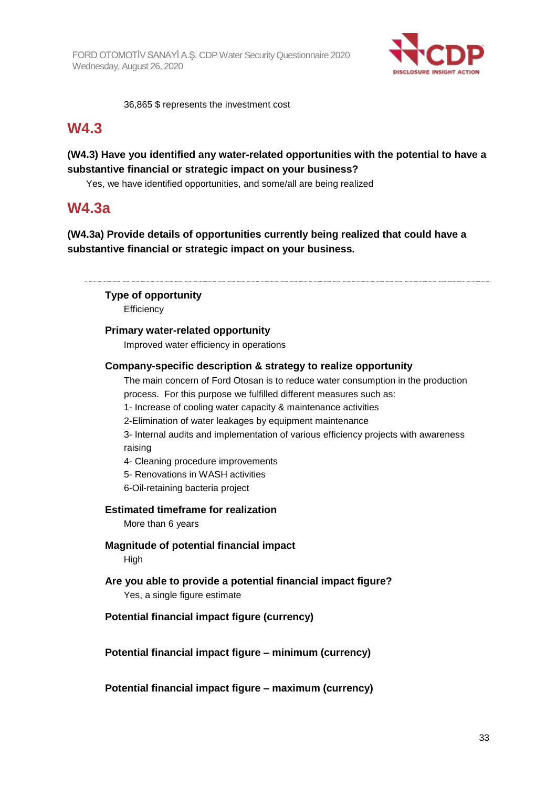

36,865 \$ represents the investment cost

## **W4.3**

### **(W4.3) Have you identified any water-related opportunities with the potential to have a substantive financial or strategic impact on your business?**

Yes, we have identified opportunities, and some/all are being realized

## **W4.3a**

**(W4.3a) Provide details of opportunities currently being realized that could have a substantive financial or strategic impact on your business.**

**Type of opportunity**

**Efficiency** 

### **Primary water-related opportunity**

Improved water efficiency in operations

### **Company-specific description & strategy to realize opportunity**

The main concern of Ford Otosan is to reduce water consumption in the production process. For this purpose we fulfilled different measures such as:

1- Increase of cooling water capacity & maintenance activities

2-Elimination of water leakages by equipment maintenance

3- Internal audits and implementation of various efficiency projects with awareness raising

4- Cleaning procedure improvements

5- Renovations in WASH activities

6-Oil-retaining bacteria project

### **Estimated timeframe for realization**

More than 6 years

### **Magnitude of potential financial impact**

High

# **Are you able to provide a potential financial impact figure?**

Yes, a single figure estimate

### **Potential financial impact figure (currency)**

**Potential financial impact figure – minimum (currency)**

**Potential financial impact figure – maximum (currency)**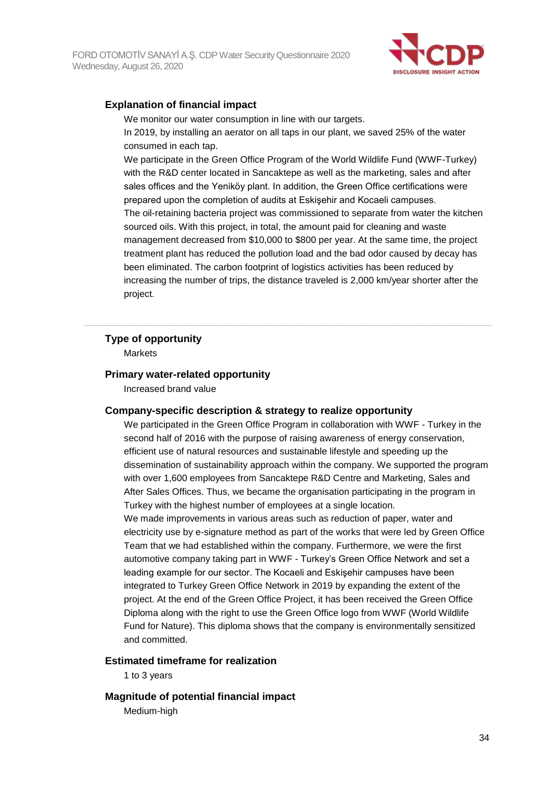

### **Explanation of financial impact**

We monitor our water consumption in line with our targets.

In 2019, by installing an aerator on all taps in our plant, we saved 25% of the water consumed in each tap.

We participate in the Green Office Program of the World Wildlife Fund (WWF-Turkey) with the R&D center located in Sancaktepe as well as the marketing, sales and after sales offices and the Yeniköy plant. In addition, the Green Office certifications were prepared upon the completion of audits at Eskişehir and Kocaeli campuses. The oil-retaining bacteria project was commissioned to separate from water the kitchen sourced oils. With this project, in total, the amount paid for cleaning and waste management decreased from \$10,000 to \$800 per year. At the same time, the project treatment plant has reduced the pollution load and the bad odor caused by decay has been eliminated. The carbon footprint of logistics activities has been reduced by increasing the number of trips, the distance traveled is 2,000 km/year shorter after the project.

### **Type of opportunity**

**Markets** 

### **Primary water-related opportunity**

Increased brand value

### **Company-specific description & strategy to realize opportunity**

We participated in the Green Office Program in collaboration with WWF - Turkey in the second half of 2016 with the purpose of raising awareness of energy conservation, efficient use of natural resources and sustainable lifestyle and speeding up the dissemination of sustainability approach within the company. We supported the program with over 1,600 employees from Sancaktepe R&D Centre and Marketing, Sales and After Sales Offices. Thus, we became the organisation participating in the program in Turkey with the highest number of employees at a single location. We made improvements in various areas such as reduction of paper, water and electricity use by e-signature method as part of the works that were led by Green Office Team that we had established within the company. Furthermore, we were the first automotive company taking part in WWF - Turkey's Green Office Network and set a leading example for our sector. The Kocaeli and Eskişehir campuses have been integrated to Turkey Green Office Network in 2019 by expanding the extent of the project. At the end of the Green Office Project, it has been received the Green Office Diploma along with the right to use the Green Office logo from WWF (World Wildlife Fund for Nature). This diploma shows that the company is environmentally sensitized and committed.

### **Estimated timeframe for realization**

1 to 3 years

### **Magnitude of potential financial impact**

Medium-high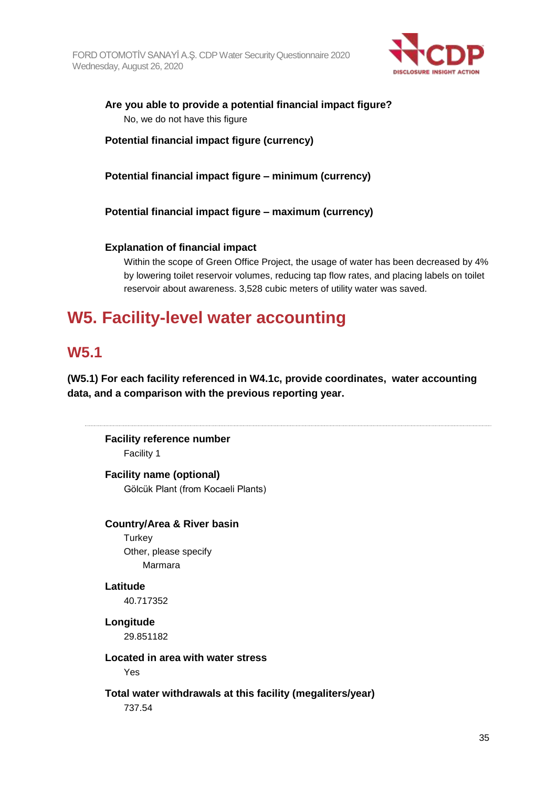

**Are you able to provide a potential financial impact figure?** No, we do not have this figure

**Potential financial impact figure (currency)**

**Potential financial impact figure – minimum (currency)**

**Potential financial impact figure – maximum (currency)**

### **Explanation of financial impact**

Within the scope of Green Office Project, the usage of water has been decreased by 4% by lowering toilet reservoir volumes, reducing tap flow rates, and placing labels on toilet reservoir about awareness. 3,528 cubic meters of utility water was saved.

# **W5. Facility-level water accounting**

## **W5.1**

**(W5.1) For each facility referenced in W4.1c, provide coordinates, water accounting data, and a comparison with the previous reporting year.**

**Facility reference number** Facility 1

**Facility name (optional)** Gölcük Plant (from Kocaeli Plants)

### **Country/Area & River basin**

**Turkey** Other, please specify Marmara

### **Latitude**

40.717352

**Longitude** 29.851182

**Located in area with water stress**

Yes

**Total water withdrawals at this facility (megaliters/year)**

737.54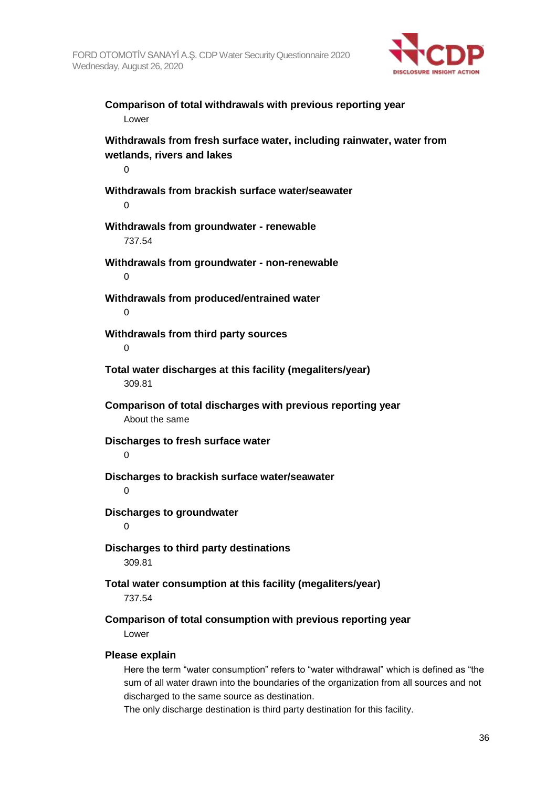

**Comparison of total withdrawals with previous reporting year** Lower **Withdrawals from fresh surface water, including rainwater, water from wetlands, rivers and lakes**  $\Omega$ **Withdrawals from brackish surface water/seawater**  $\Omega$ **Withdrawals from groundwater - renewable** 737.54 **Withdrawals from groundwater - non-renewable**  $\Omega$ **Withdrawals from produced/entrained water**  $\Omega$ **Withdrawals from third party sources**  $\Omega$ **Total water discharges at this facility (megaliters/year)** 309.81 **Comparison of total discharges with previous reporting year** About the same **Discharges to fresh surface water**  $\Omega$ **Discharges to brackish surface water/seawater**  $\Omega$ **Discharges to groundwater**  $\Omega$ **Discharges to third party destinations** 309.81 **Total water consumption at this facility (megaliters/year)** 737.54 **Comparison of total consumption with previous reporting year** Lower **Please explain** Here the term "water consumption" refers to "water withdrawal" which is defined as "the

sum of all water drawn into the boundaries of the organization from all sources and not discharged to the same source as destination.

The only discharge destination is third party destination for this facility.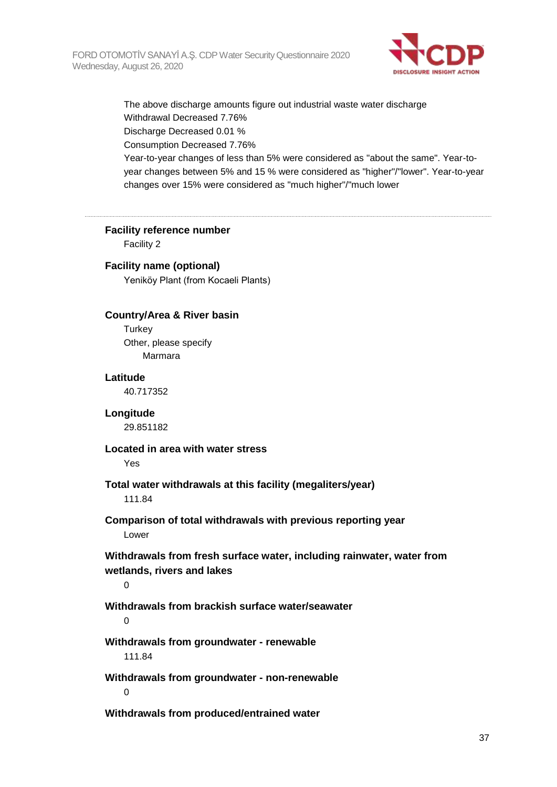

The above discharge amounts figure out industrial waste water discharge Withdrawal Decreased 7.76% Discharge Decreased 0.01 % Consumption Decreased 7.76% Year-to-year changes of less than 5% were considered as "about the same". Year-toyear changes between 5% and 15 % were considered as "higher"/"lower". Year-to-year changes over 15% were considered as "much higher"/"much lower

**Facility reference number**

Facility 2

### **Facility name (optional)**

Yeniköy Plant (from Kocaeli Plants)

### **Country/Area & River basin**

**Turkey** Other, please specify Marmara

#### **Latitude**

40.717352

### **Longitude**

29.851182

### **Located in area with water stress**

Yes

### **Total water withdrawals at this facility (megaliters/year)**

111.84

### **Comparison of total withdrawals with previous reporting year** Lower

**Withdrawals from fresh surface water, including rainwater, water from wetlands, rivers and lakes**

 $\Omega$ 

### **Withdrawals from brackish surface water/seawater**

 $\Omega$ 

## **Withdrawals from groundwater - renewable**

111.84

**Withdrawals from groundwater - non-renewable**  $\Omega$ 

**Withdrawals from produced/entrained water**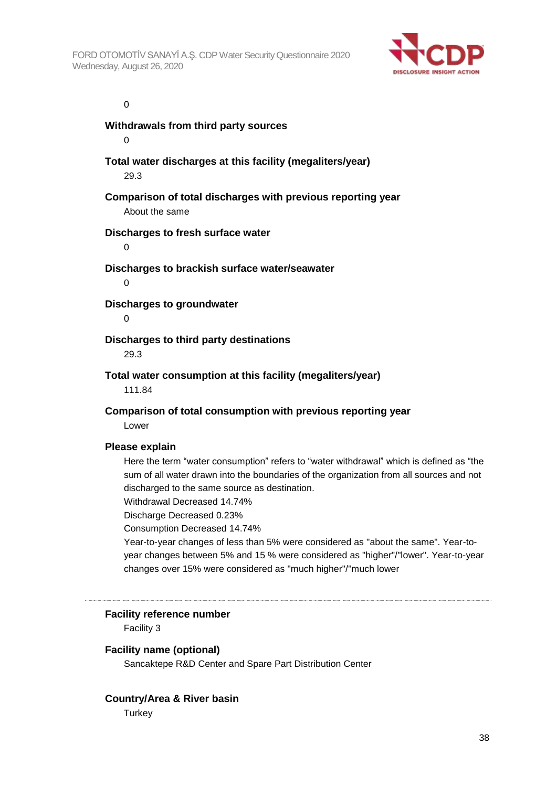

#### 0

**Withdrawals from third party sources**  $\Omega$ 

**Total water discharges at this facility (megaliters/year)** 29.3

**Comparison of total discharges with previous reporting year** About the same

### **Discharges to fresh surface water**

 $\Omega$ 

#### **Discharges to brackish surface water/seawater**

 $\Omega$ 

**Discharges to groundwater**

 $\Omega$ 

### **Discharges to third party destinations**

29.3

### **Total water consumption at this facility (megaliters/year)**

111.84

### **Comparison of total consumption with previous reporting year**

Lower

### **Please explain**

Here the term "water consumption" refers to "water withdrawal" which is defined as "the sum of all water drawn into the boundaries of the organization from all sources and not discharged to the same source as destination.

Withdrawal Decreased 14.74%

Discharge Decreased 0.23%

Consumption Decreased 14.74%

Year-to-year changes of less than 5% were considered as "about the same". Year-toyear changes between 5% and 15 % were considered as "higher"/"lower". Year-to-year changes over 15% were considered as "much higher"/"much lower

### **Facility reference number**

Facility 3

### **Facility name (optional)**

Sancaktepe R&D Center and Spare Part Distribution Center

### **Country/Area & River basin**

**Turkey**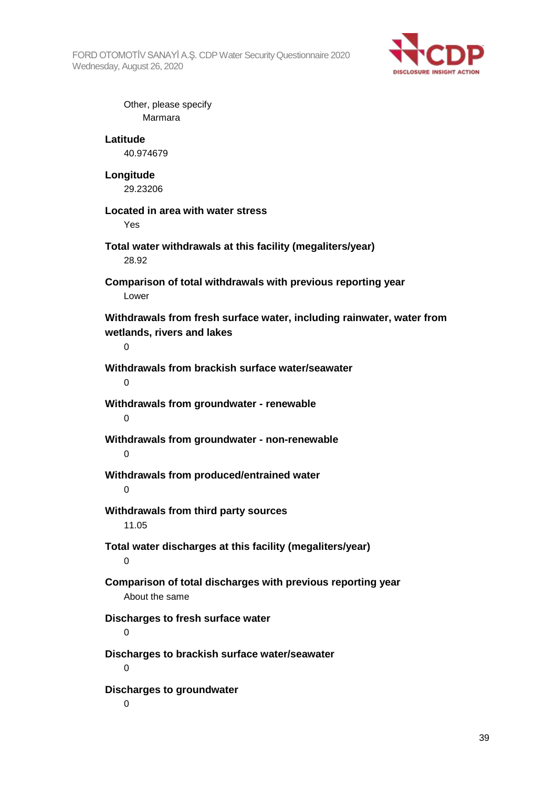FORD OTOMOTİV SANAYİ A.Ş. CDP Water Security Questionnaire 2020 Wednesday, August 26, 2020



Other, please specify Marmara **Latitude** 40.974679 **Longitude** 29.23206 **Located in area with water stress** Yes **Total water withdrawals at this facility (megaliters/year)** 28.92 **Comparison of total withdrawals with previous reporting year** Lower **Withdrawals from fresh surface water, including rainwater, water from wetlands, rivers and lakes**  $\Omega$ **Withdrawals from brackish surface water/seawater**  $\Omega$ **Withdrawals from groundwater - renewable**  $\Omega$ **Withdrawals from groundwater - non-renewable**  $\Omega$ **Withdrawals from produced/entrained water**  $\Omega$ **Withdrawals from third party sources** 11.05 **Total water discharges at this facility (megaliters/year)**  $\Omega$ **Comparison of total discharges with previous reporting year** About the same **Discharges to fresh surface water**  $\Omega$ **Discharges to brackish surface water/seawater**  $\Omega$ **Discharges to groundwater**  $\Omega$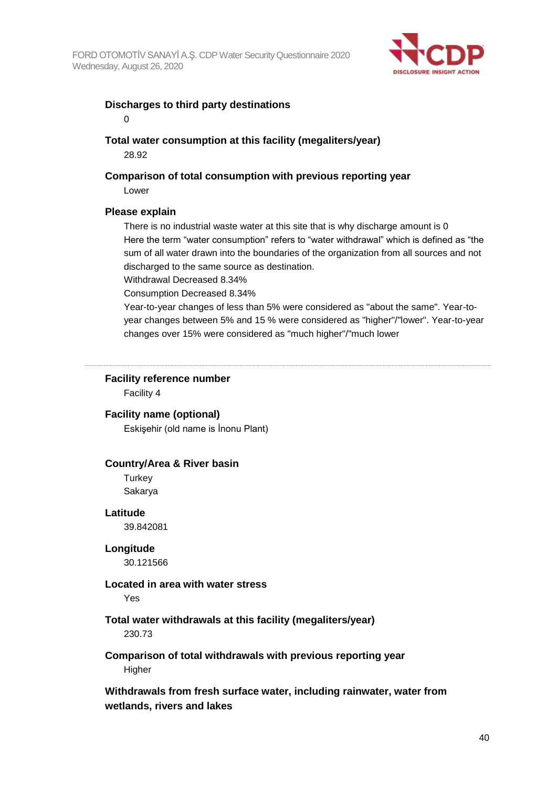

### **Discharges to third party destinations**

0

### **Total water consumption at this facility (megaliters/year)** 28.92

## **Comparison of total consumption with previous reporting year**

Lower

### **Please explain**

There is no industrial waste water at this site that is why discharge amount is 0 Here the term "water consumption" refers to "water withdrawal" which is defined as "the sum of all water drawn into the boundaries of the organization from all sources and not discharged to the same source as destination.

Withdrawal Decreased 8.34%

Consumption Decreased 8.34%

Year-to-year changes of less than 5% were considered as "about the same". Year-toyear changes between 5% and 15 % were considered as "higher"/"lower". Year-to-year changes over 15% were considered as "much higher"/"much lower

### **Facility reference number**

Facility 4

**Facility name (optional)**

Eskişehir (old name is İnonu Plant)

### **Country/Area & River basin**

**Turkey** Sakarya

### **Latitude**

39.842081

### **Longitude**

30.121566

### **Located in area with water stress**

Yes

### **Total water withdrawals at this facility (megaliters/year)**

230.73

# **Comparison of total withdrawals with previous reporting year**

**Higher** 

**Withdrawals from fresh surface water, including rainwater, water from wetlands, rivers and lakes**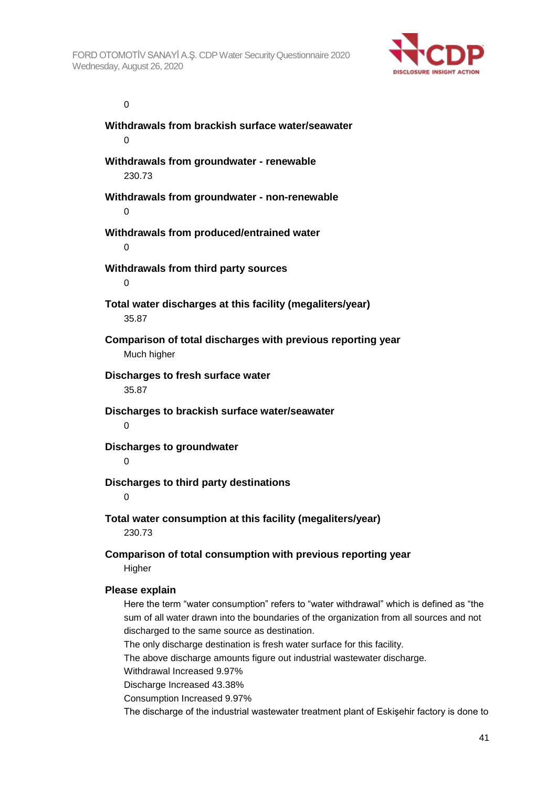

0

**Withdrawals from brackish surface water/seawater**  $\Omega$ **Withdrawals from groundwater - renewable** 230.73 **Withdrawals from groundwater - non-renewable**  $\Omega$ **Withdrawals from produced/entrained water**  $\Omega$ **Withdrawals from third party sources**  $\Omega$ **Total water discharges at this facility (megaliters/year)** 35.87 **Comparison of total discharges with previous reporting year** Much higher **Discharges to fresh surface water** 35.87 **Discharges to brackish surface water/seawater** 0 **Discharges to groundwater**  $\Omega$ **Discharges to third party destinations** 0 **Total water consumption at this facility (megaliters/year)** 230.73 **Comparison of total consumption with previous reporting year Higher Please explain** Here the term "water consumption" refers to "water withdrawal" which is defined as "the sum of all water drawn into the boundaries of the organization from all sources and not discharged to the same source as destination. The only discharge destination is fresh water surface for this facility. The above discharge amounts figure out industrial wastewater discharge. Withdrawal Increased 9.97%

Discharge Increased 43.38%

Consumption Increased 9.97%

The discharge of the industrial wastewater treatment plant of Eskişehir factory is done to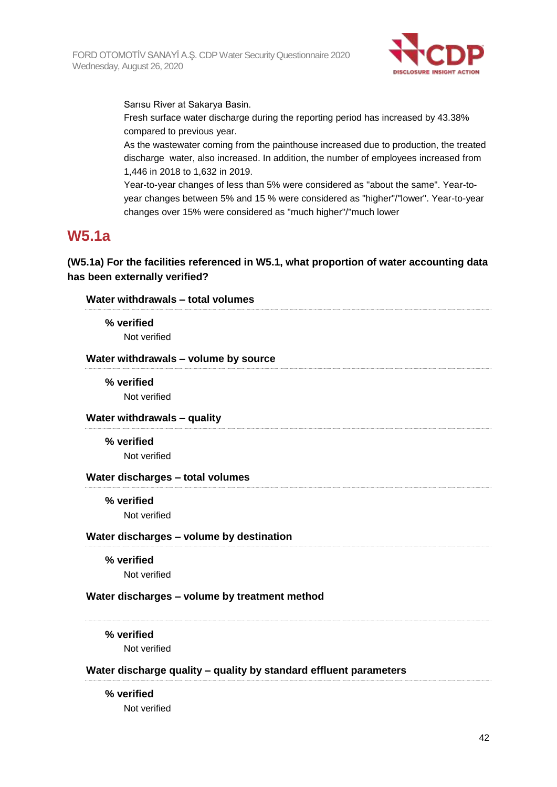

Sarısu River at Sakarya Basin.

Fresh surface water discharge during the reporting period has increased by 43.38% compared to previous year.

As the wastewater coming from the painthouse increased due to production, the treated discharge water, also increased. In addition, the number of employees increased from 1,446 in 2018 to 1,632 in 2019.

Year-to-year changes of less than 5% were considered as "about the same". Year-toyear changes between 5% and 15 % were considered as "higher"/"lower". Year-to-year changes over 15% were considered as "much higher"/"much lower

## **W5.1a**

**(W5.1a) For the facilities referenced in W5.1, what proportion of water accounting data has been externally verified?**

| Water withdrawals - total volumes        |                                                                   |
|------------------------------------------|-------------------------------------------------------------------|
| % verified                               |                                                                   |
| Not verified                             |                                                                   |
| Water withdrawals - volume by source     |                                                                   |
| % verified                               |                                                                   |
| Not verified                             |                                                                   |
| Water withdrawals - quality              |                                                                   |
| % verified                               |                                                                   |
| Not verified                             |                                                                   |
| Water discharges - total volumes         |                                                                   |
| % verified                               |                                                                   |
| Not verified                             |                                                                   |
| Water discharges - volume by destination |                                                                   |
| % verified                               |                                                                   |
| Not verified                             |                                                                   |
|                                          | Water discharges - volume by treatment method                     |
| % verified                               |                                                                   |
| Not verified                             |                                                                   |
|                                          | Water discharge quality - quality by standard effluent parameters |
| % verified                               |                                                                   |
| Not verified                             |                                                                   |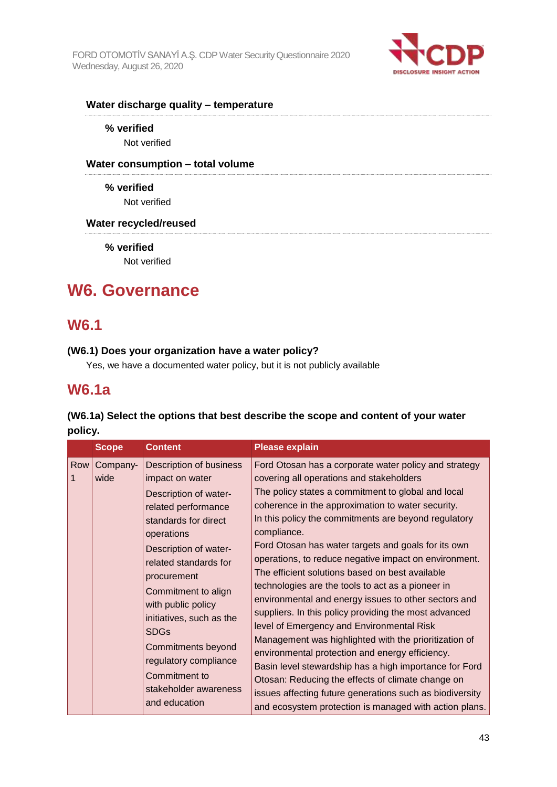

### **Water discharge quality – temperature**

### **% verified**

Not verified

### **Water consumption – total volume**

**% verified** Not verified

### **Water recycled/reused**

**% verified**

Not verified

# **W6. Governance**

## **W6.1**

### **(W6.1) Does your organization have a water policy?**

Yes, we have a documented water policy, but it is not publicly available

### **W6.1a**

### **(W6.1a) Select the options that best describe the scope and content of your water policy.**

|     | <b>Scope</b>     | <b>Content</b>                                                                                                                                                                                                                                                                                                                                                                                             | <b>Please explain</b>                                                                                                                                                                                                                                                                                                                                                                                                                                                                                                                                                                                                                                                                                                                                                                                                                                                                                                                                                                                                      |
|-----|------------------|------------------------------------------------------------------------------------------------------------------------------------------------------------------------------------------------------------------------------------------------------------------------------------------------------------------------------------------------------------------------------------------------------------|----------------------------------------------------------------------------------------------------------------------------------------------------------------------------------------------------------------------------------------------------------------------------------------------------------------------------------------------------------------------------------------------------------------------------------------------------------------------------------------------------------------------------------------------------------------------------------------------------------------------------------------------------------------------------------------------------------------------------------------------------------------------------------------------------------------------------------------------------------------------------------------------------------------------------------------------------------------------------------------------------------------------------|
| Row | Company-<br>wide | Description of business<br>impact on water<br>Description of water-<br>related performance<br>standards for direct<br>operations<br>Description of water-<br>related standards for<br>procurement<br>Commitment to align<br>with public policy<br>initiatives, such as the<br><b>SDGs</b><br><b>Commitments beyond</b><br>regulatory compliance<br>Commitment to<br>stakeholder awareness<br>and education | Ford Otosan has a corporate water policy and strategy<br>covering all operations and stakeholders<br>The policy states a commitment to global and local<br>coherence in the approximation to water security.<br>In this policy the commitments are beyond regulatory<br>compliance.<br>Ford Otosan has water targets and goals for its own<br>operations, to reduce negative impact on environment.<br>The efficient solutions based on best available<br>technologies are the tools to act as a pioneer in<br>environmental and energy issues to other sectors and<br>suppliers. In this policy providing the most advanced<br>level of Emergency and Environmental Risk<br>Management was highlighted with the prioritization of<br>environmental protection and energy efficiency.<br>Basin level stewardship has a high importance for Ford<br>Otosan: Reducing the effects of climate change on<br>issues affecting future generations such as biodiversity<br>and ecosystem protection is managed with action plans. |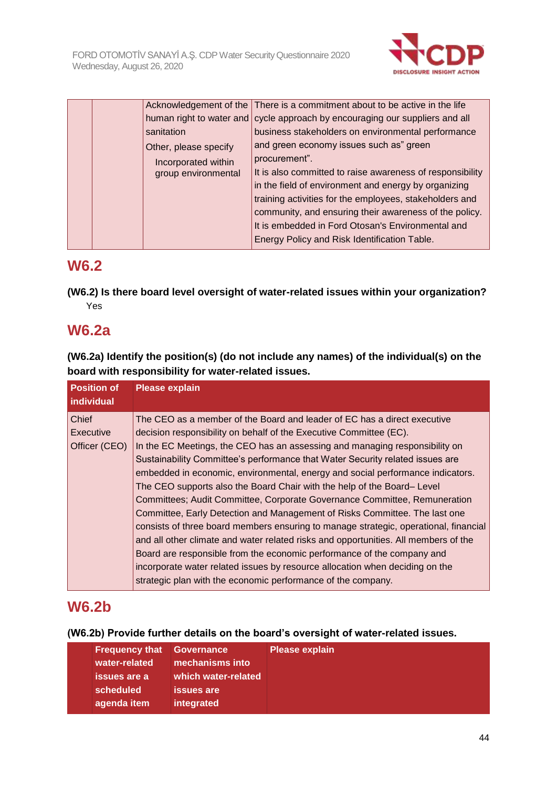

|  |                       | Acknowledgement of the There is a commitment about to be active in the life  |
|--|-----------------------|------------------------------------------------------------------------------|
|  |                       | human right to water and cycle approach by encouraging our suppliers and all |
|  | sanitation            | business stakeholders on environmental performance                           |
|  | Other, please specify | and green economy issues such as" green                                      |
|  | Incorporated within   | procurement".                                                                |
|  | group environmental   | It is also committed to raise awareness of responsibility                    |
|  |                       | in the field of environment and energy by organizing                         |
|  |                       | training activities for the employees, stakeholders and                      |
|  |                       | community, and ensuring their awareness of the policy.                       |
|  |                       | It is embedded in Ford Otosan's Environmental and                            |
|  |                       | Energy Policy and Risk Identification Table.                                 |
|  |                       |                                                                              |

# **W6.2**

**(W6.2) Is there board level oversight of water-related issues within your organization?** Yes

# **W6.2a**

**(W6.2a) Identify the position(s) (do not include any names) of the individual(s) on the board with responsibility for water-related issues.**

| <b>Position of</b><br>individual | <b>Please explain</b>                                                                |
|----------------------------------|--------------------------------------------------------------------------------------|
| <b>Chief</b>                     | The CEO as a member of the Board and leader of EC has a direct executive             |
| <b>Executive</b>                 | decision responsibility on behalf of the Executive Committee (EC).                   |
| Officer (CEO)                    | In the EC Meetings, the CEO has an assessing and managing responsibility on          |
|                                  | Sustainability Committee's performance that Water Security related issues are        |
|                                  | embedded in economic, environmental, energy and social performance indicators.       |
|                                  | The CEO supports also the Board Chair with the help of the Board– Level              |
|                                  | Committees; Audit Committee, Corporate Governance Committee, Remuneration            |
|                                  | Committee, Early Detection and Management of Risks Committee. The last one           |
|                                  | consists of three board members ensuring to manage strategic, operational, financial |
|                                  | and all other climate and water related risks and opportunities. All members of the  |
|                                  | Board are responsible from the economic performance of the company and               |
|                                  | incorporate water related issues by resource allocation when deciding on the         |
|                                  | strategic plan with the economic performance of the company.                         |

# **W6.2b**

**(W6.2b) Provide further details on the board's oversight of water-related issues.**

| <b>Frequency that</b> | <b>Governance</b>   | <b>Please explain</b> |
|-----------------------|---------------------|-----------------------|
| water-related         | mechanisms into     |                       |
| issues are a          | which water-related |                       |
| scheduled             | lissues are l       |                       |
| agenda item           | integrated          |                       |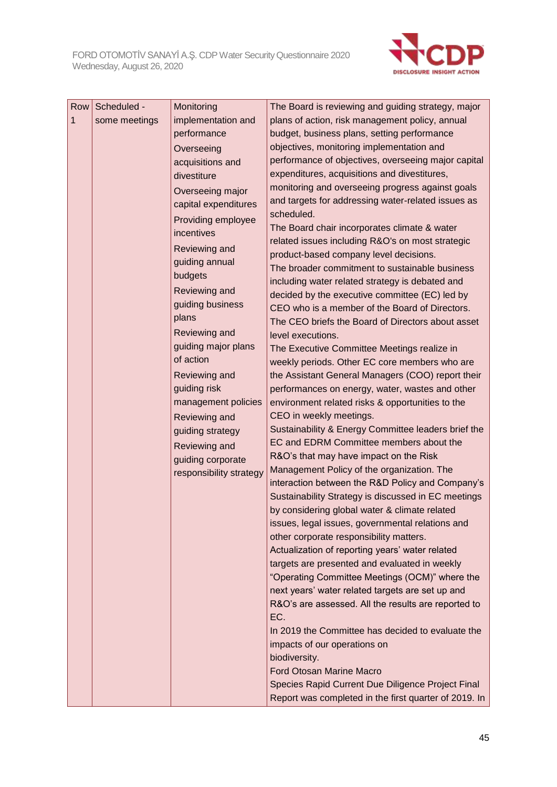

| Row | Scheduled -   | Monitoring              | The Board is reviewing and guiding strategy, major                                                |
|-----|---------------|-------------------------|---------------------------------------------------------------------------------------------------|
| 1   | some meetings | implementation and      | plans of action, risk management policy, annual                                                   |
|     |               | performance             | budget, business plans, setting performance                                                       |
|     |               | Overseeing              | objectives, monitoring implementation and                                                         |
|     |               | acquisitions and        | performance of objectives, overseeing major capital                                               |
|     |               | divestiture             | expenditures, acquisitions and divestitures,                                                      |
|     |               | Overseeing major        | monitoring and overseeing progress against goals                                                  |
|     |               | capital expenditures    | and targets for addressing water-related issues as                                                |
|     |               | Providing employee      | scheduled.                                                                                        |
|     |               | incentives              | The Board chair incorporates climate & water                                                      |
|     |               | Reviewing and           | related issues including R&O's on most strategic                                                  |
|     |               | guiding annual          | product-based company level decisions.<br>The broader commitment to sustainable business          |
|     |               | budgets                 | including water related strategy is debated and                                                   |
|     |               | <b>Reviewing and</b>    | decided by the executive committee (EC) led by                                                    |
|     |               | guiding business        | CEO who is a member of the Board of Directors.                                                    |
|     |               | plans                   | The CEO briefs the Board of Directors about asset                                                 |
|     |               | Reviewing and           | level executions.                                                                                 |
|     |               | guiding major plans     | The Executive Committee Meetings realize in                                                       |
|     |               | of action               | weekly periods. Other EC core members who are                                                     |
|     |               | Reviewing and           | the Assistant General Managers (COO) report their                                                 |
|     |               | guiding risk            | performances on energy, water, wastes and other                                                   |
|     |               | management policies     | environment related risks & opportunities to the                                                  |
|     |               | <b>Reviewing and</b>    | CEO in weekly meetings.                                                                           |
|     |               | guiding strategy        | Sustainability & Energy Committee leaders brief the                                               |
|     |               | Reviewing and           | EC and EDRM Committee members about the                                                           |
|     |               | guiding corporate       | R&O's that may have impact on the Risk                                                            |
|     |               | responsibility strategy | Management Policy of the organization. The                                                        |
|     |               |                         | interaction between the R&D Policy and Company's                                                  |
|     |               |                         | Sustainability Strategy is discussed in EC meetings                                               |
|     |               |                         | by considering global water & climate related<br>issues, legal issues, governmental relations and |
|     |               |                         | other corporate responsibility matters.                                                           |
|     |               |                         | Actualization of reporting years' water related                                                   |
|     |               |                         | targets are presented and evaluated in weekly                                                     |
|     |               |                         | "Operating Committee Meetings (OCM)" where the                                                    |
|     |               |                         | next years' water related targets are set up and                                                  |
|     |               |                         | R&O's are assessed. All the results are reported to                                               |
|     |               |                         | EC.                                                                                               |
|     |               |                         | In 2019 the Committee has decided to evaluate the                                                 |
|     |               |                         | impacts of our operations on                                                                      |
|     |               |                         | biodiversity.                                                                                     |
|     |               |                         | <b>Ford Otosan Marine Macro</b>                                                                   |
|     |               |                         | Species Rapid Current Due Diligence Project Final                                                 |
|     |               |                         | Report was completed in the first quarter of 2019. In                                             |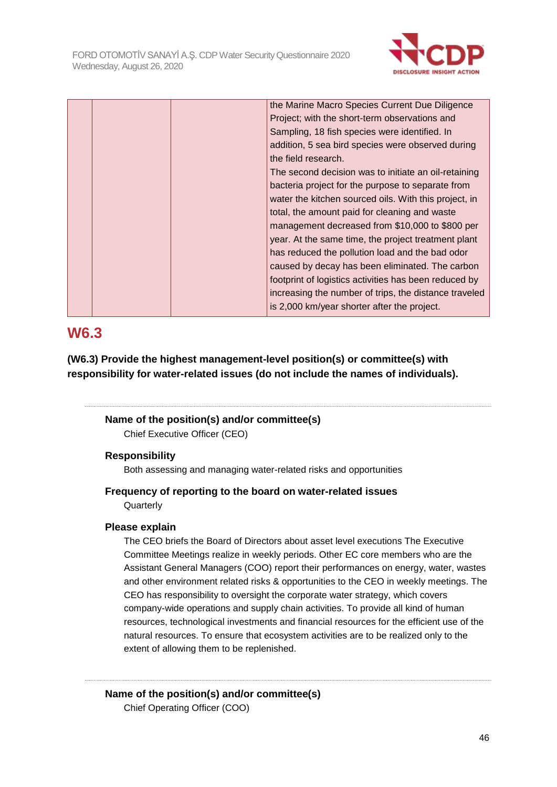

|  | the Marine Macro Species Current Due Diligence        |
|--|-------------------------------------------------------|
|  | Project; with the short-term observations and         |
|  | Sampling, 18 fish species were identified. In         |
|  | addition, 5 sea bird species were observed during     |
|  | the field research.                                   |
|  | The second decision was to initiate an oil-retaining  |
|  | bacteria project for the purpose to separate from     |
|  | water the kitchen sourced oils. With this project, in |
|  | total, the amount paid for cleaning and waste         |
|  | management decreased from \$10,000 to \$800 per       |
|  | year. At the same time, the project treatment plant   |
|  | has reduced the pollution load and the bad odor       |
|  | caused by decay has been eliminated. The carbon       |
|  | footprint of logistics activities has been reduced by |
|  | increasing the number of trips, the distance traveled |
|  | is 2,000 km/year shorter after the project.           |
|  |                                                       |

# **W6.3**

**(W6.3) Provide the highest management-level position(s) or committee(s) with responsibility for water-related issues (do not include the names of individuals).**

# **Name of the position(s) and/or committee(s)**

Chief Executive Officer (CEO)

### **Responsibility**

Both assessing and managing water-related risks and opportunities

### **Frequency of reporting to the board on water-related issues**

**Quarterly** 

### **Please explain**

The CEO briefs the Board of Directors about asset level executions The Executive Committee Meetings realize in weekly periods. Other EC core members who are the Assistant General Managers (COO) report their performances on energy, water, wastes and other environment related risks & opportunities to the CEO in weekly meetings. The CEO has responsibility to oversight the corporate water strategy, which covers company-wide operations and supply chain activities. To provide all kind of human resources, technological investments and financial resources for the efficient use of the natural resources. To ensure that ecosystem activities are to be realized only to the extent of allowing them to be replenished.

# **Name of the position(s) and/or committee(s)**

Chief Operating Officer (COO)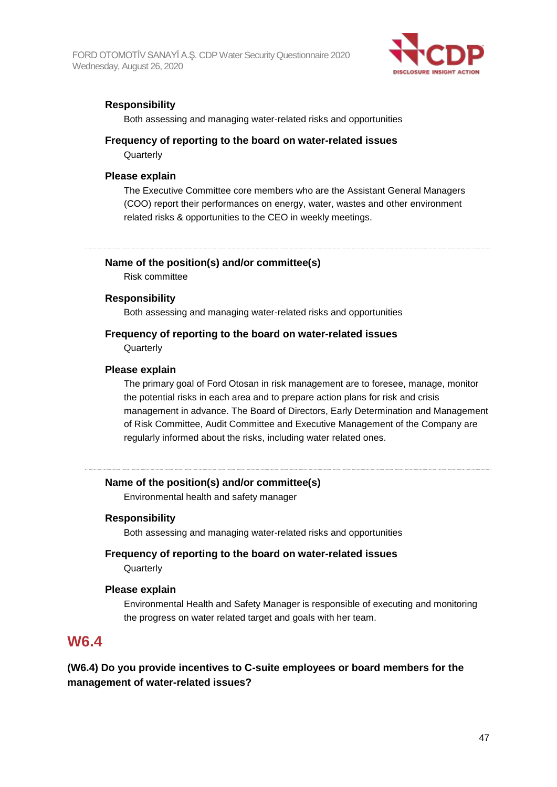FORD OTOMOTİV SANAYİ A.Ş. CDP Water Security Questionnaire 2020 Wednesday, August 26, 2020



### **Responsibility**

Both assessing and managing water-related risks and opportunities

### **Frequency of reporting to the board on water-related issues**

**Quarterly** 

### **Please explain**

The Executive Committee core members who are the Assistant General Managers (COO) report their performances on energy, water, wastes and other environment related risks & opportunities to the CEO in weekly meetings.

### **Name of the position(s) and/or committee(s)**

Risk committee

### **Responsibility**

Both assessing and managing water-related risks and opportunities

# **Frequency of reporting to the board on water-related issues**

**Quarterly** 

### **Please explain**

The primary goal of Ford Otosan in risk management are to foresee, manage, monitor the potential risks in each area and to prepare action plans for risk and crisis management in advance. The Board of Directors, Early Determination and Management of Risk Committee, Audit Committee and Executive Management of the Company are regularly informed about the risks, including water related ones.

### **Name of the position(s) and/or committee(s)**

Environmental health and safety manager

### **Responsibility**

Both assessing and managing water-related risks and opportunities

### **Frequency of reporting to the board on water-related issues Quarterly**

### **Please explain**

Environmental Health and Safety Manager is responsible of executing and monitoring the progress on water related target and goals with her team.

### **W6.4**

**(W6.4) Do you provide incentives to C-suite employees or board members for the management of water-related issues?**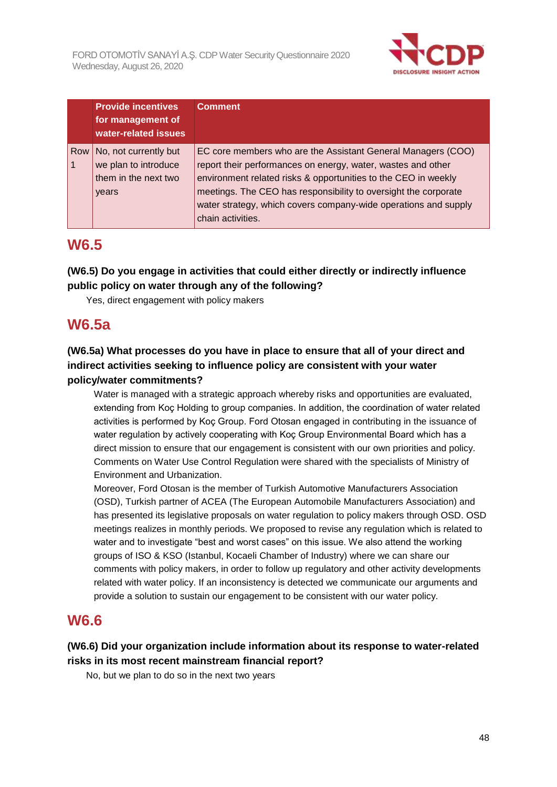

|     | <b>Provide incentives</b><br>for management of<br>water-related issues         | <b>Comment</b>                                                                                                                                                                                                                                                                                                                                            |
|-----|--------------------------------------------------------------------------------|-----------------------------------------------------------------------------------------------------------------------------------------------------------------------------------------------------------------------------------------------------------------------------------------------------------------------------------------------------------|
| Row | No, not currently but<br>we plan to introduce<br>them in the next two<br>years | EC core members who are the Assistant General Managers (COO)<br>report their performances on energy, water, wastes and other<br>environment related risks & opportunities to the CEO in weekly<br>meetings. The CEO has responsibility to oversight the corporate<br>water strategy, which covers company-wide operations and supply<br>chain activities. |

## **W6.5**

**(W6.5) Do you engage in activities that could either directly or indirectly influence public policy on water through any of the following?**

Yes, direct engagement with policy makers

# **W6.5a**

### **(W6.5a) What processes do you have in place to ensure that all of your direct and indirect activities seeking to influence policy are consistent with your water policy/water commitments?**

Water is managed with a strategic approach whereby risks and opportunities are evaluated, extending from Koç Holding to group companies. In addition, the coordination of water related activities is performed by Koç Group. Ford Otosan engaged in contributing in the issuance of water regulation by actively cooperating with Koç Group Environmental Board which has a direct mission to ensure that our engagement is consistent with our own priorities and policy. Comments on Water Use Control Regulation were shared with the specialists of Ministry of Environment and Urbanization.

Moreover, Ford Otosan is the member of Turkish Automotive Manufacturers Association (OSD), Turkish partner of ACEA (The European Automobile Manufacturers Association) and has presented its legislative proposals on water regulation to policy makers through OSD. OSD meetings realizes in monthly periods. We proposed to revise any regulation which is related to water and to investigate "best and worst cases" on this issue. We also attend the working groups of ISO & KSO (Istanbul, Kocaeli Chamber of Industry) where we can share our comments with policy makers, in order to follow up regulatory and other activity developments related with water policy. If an inconsistency is detected we communicate our arguments and provide a solution to sustain our engagement to be consistent with our water policy.

## **W6.6**

### **(W6.6) Did your organization include information about its response to water-related risks in its most recent mainstream financial report?**

No, but we plan to do so in the next two years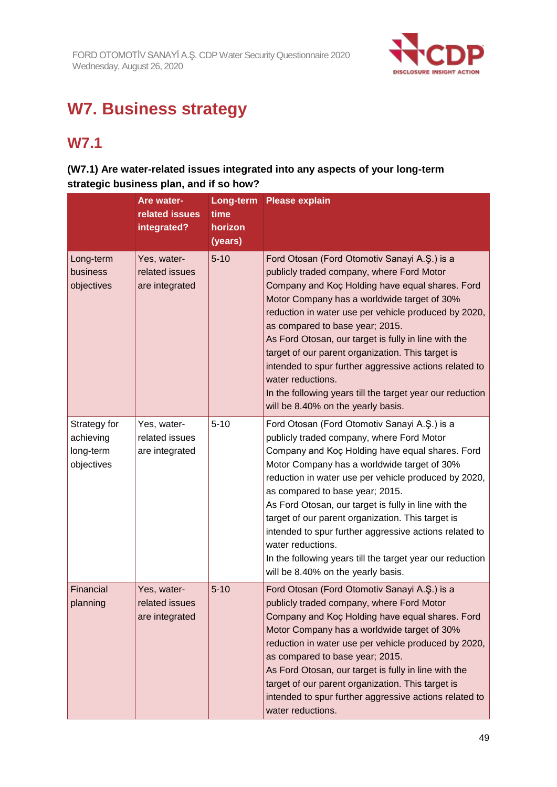

# **W7. Business strategy**

# **W7.1**

### **(W7.1) Are water-related issues integrated into any aspects of your long-term strategic business plan, and if so how?**

|                                                      | Are water-<br>related issues<br>integrated?     | Long-term<br>time<br>horizon<br>(years) | <b>Please explain</b>                                                                                                                                                                                                                                                                                                                                                                                                                                                                                                                                                                 |
|------------------------------------------------------|-------------------------------------------------|-----------------------------------------|---------------------------------------------------------------------------------------------------------------------------------------------------------------------------------------------------------------------------------------------------------------------------------------------------------------------------------------------------------------------------------------------------------------------------------------------------------------------------------------------------------------------------------------------------------------------------------------|
| Long-term<br>business<br>objectives                  | Yes, water-<br>related issues<br>are integrated | $5 - 10$                                | Ford Otosan (Ford Otomotiv Sanayi A.Ş.) is a<br>publicly traded company, where Ford Motor<br>Company and Koç Holding have equal shares. Ford<br>Motor Company has a worldwide target of 30%<br>reduction in water use per vehicle produced by 2020,<br>as compared to base year; 2015.<br>As Ford Otosan, our target is fully in line with the<br>target of our parent organization. This target is<br>intended to spur further aggressive actions related to<br>water reductions.<br>In the following years till the target year our reduction<br>will be 8.40% on the yearly basis. |
| Strategy for<br>achieving<br>long-term<br>objectives | Yes, water-<br>related issues<br>are integrated | $5 - 10$                                | Ford Otosan (Ford Otomotiv Sanayi A.Ş.) is a<br>publicly traded company, where Ford Motor<br>Company and Koç Holding have equal shares. Ford<br>Motor Company has a worldwide target of 30%<br>reduction in water use per vehicle produced by 2020,<br>as compared to base year; 2015.<br>As Ford Otosan, our target is fully in line with the<br>target of our parent organization. This target is<br>intended to spur further aggressive actions related to<br>water reductions.<br>In the following years till the target year our reduction<br>will be 8.40% on the yearly basis. |
| Financial<br>planning                                | Yes, water-<br>related issues<br>are integrated | $5 - 10$                                | Ford Otosan (Ford Otomotiv Sanayi A.Ş.) is a<br>publicly traded company, where Ford Motor<br>Company and Koc Holding have equal shares. Ford<br>Motor Company has a worldwide target of 30%<br>reduction in water use per vehicle produced by 2020,<br>as compared to base year; 2015.<br>As Ford Otosan, our target is fully in line with the<br>target of our parent organization. This target is<br>intended to spur further aggressive actions related to<br>water reductions.                                                                                                    |

49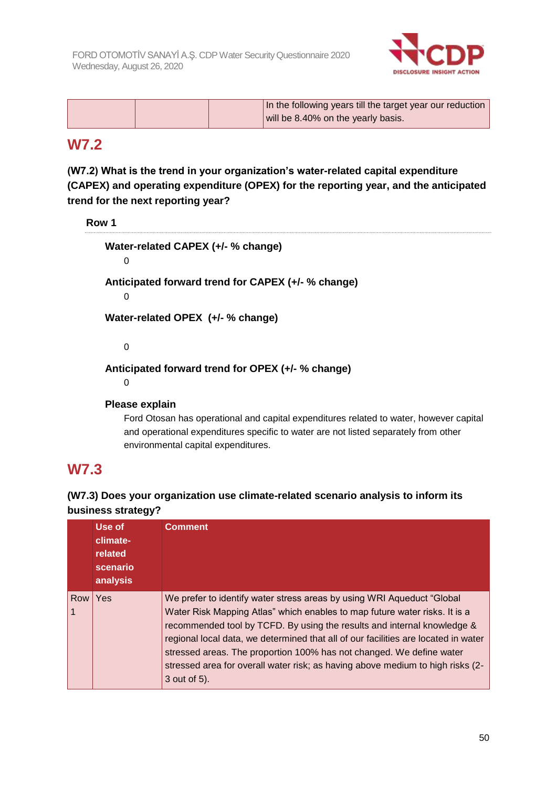

| In the following years till the target year our reduction |
|-----------------------------------------------------------|
| will be 8.40% on the yearly basis.                        |

## **W7.2**

### **(W7.2) What is the trend in your organization's water-related capital expenditure (CAPEX) and operating expenditure (OPEX) for the reporting year, and the anticipated trend for the next reporting year?**

**Row 1**

**Water-related CAPEX (+/- % change)** 0 **Anticipated forward trend for CAPEX (+/- % change)** 0 **Water-related OPEX (+/- % change)**

0

**Anticipated forward trend for OPEX (+/- % change)**

0

### **Please explain**

Ford Otosan has operational and capital expenditures related to water, however capital and operational expenditures specific to water are not listed separately from other environmental capital expenditures.

## **W7.3**

### **(W7.3) Does your organization use climate-related scenario analysis to inform its business strategy?**

|     | Use of<br>climate-<br>related<br>scenario<br>analysis | <b>Comment</b>                                                                                                                                                                                                                                                                                                                                                                                                                                                                                   |
|-----|-------------------------------------------------------|--------------------------------------------------------------------------------------------------------------------------------------------------------------------------------------------------------------------------------------------------------------------------------------------------------------------------------------------------------------------------------------------------------------------------------------------------------------------------------------------------|
| Row | Yes                                                   | We prefer to identify water stress areas by using WRI Aqueduct "Global"<br>Water Risk Mapping Atlas" which enables to map future water risks. It is a<br>recommended tool by TCFD. By using the results and internal knowledge &<br>regional local data, we determined that all of our facilities are located in water<br>stressed areas. The proportion 100% has not changed. We define water<br>stressed area for overall water risk; as having above medium to high risks (2-<br>3 out of 5). |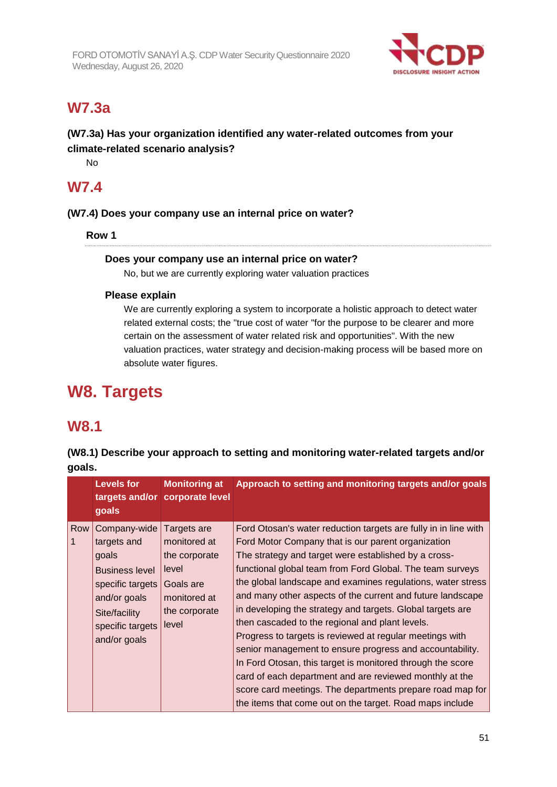

# **W7.3a**

### **(W7.3a) Has your organization identified any water-related outcomes from your climate-related scenario analysis?**

No

### **W7.4**

### **(W7.4) Does your company use an internal price on water?**

**Row 1**

### **Does your company use an internal price on water?**

No, but we are currently exploring water valuation practices

### **Please explain**

We are currently exploring a system to incorporate a holistic approach to detect water related external costs; the "true cost of water "for the purpose to be clearer and more certain on the assessment of water related risk and opportunities". With the new valuation practices, water strategy and decision-making process will be based more on absolute water figures.

# **W8. Targets**

## **W8.1**

**(W8.1) Describe your approach to setting and monitoring water-related targets and/or goals.**

|     | <b>Levels for</b>                                                                                                                                               | <b>Monitoring at</b><br>targets and/or corporate level                                                       | Approach to setting and monitoring targets and/or goals                                                                                                                                                                                                                                                                                                                                                                                                                                                                                                                                                                                                                                                                                                                                                |
|-----|-----------------------------------------------------------------------------------------------------------------------------------------------------------------|--------------------------------------------------------------------------------------------------------------|--------------------------------------------------------------------------------------------------------------------------------------------------------------------------------------------------------------------------------------------------------------------------------------------------------------------------------------------------------------------------------------------------------------------------------------------------------------------------------------------------------------------------------------------------------------------------------------------------------------------------------------------------------------------------------------------------------------------------------------------------------------------------------------------------------|
| Row | goals<br>Company-wide<br>targets and<br>goals<br><b>Business level</b><br>specific targets<br>and/or goals<br>Site/facility<br>specific targets<br>and/or goals | Targets are<br>monitored at<br>the corporate<br>level<br>Goals are<br>monitored at<br>the corporate<br>level | Ford Otosan's water reduction targets are fully in in line with<br>Ford Motor Company that is our parent organization<br>The strategy and target were established by a cross-<br>functional global team from Ford Global. The team surveys<br>the global landscape and examines regulations, water stress<br>and many other aspects of the current and future landscape<br>in developing the strategy and targets. Global targets are<br>then cascaded to the regional and plant levels.<br>Progress to targets is reviewed at regular meetings with<br>senior management to ensure progress and accountability.<br>In Ford Otosan, this target is monitored through the score<br>card of each department and are reviewed monthly at the<br>score card meetings. The departments prepare road map for |
|     |                                                                                                                                                                 |                                                                                                              | the items that come out on the target. Road maps include                                                                                                                                                                                                                                                                                                                                                                                                                                                                                                                                                                                                                                                                                                                                               |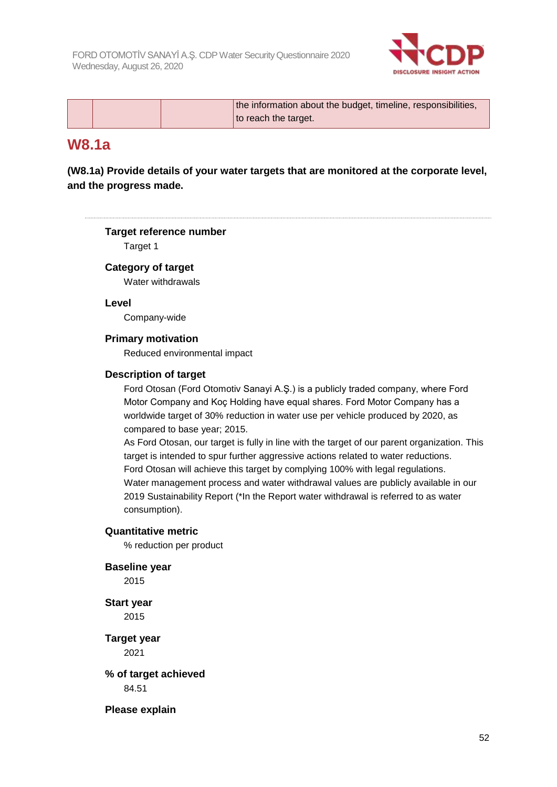

|  | the information about the budget, timeline, responsibilities, |
|--|---------------------------------------------------------------|
|  | to reach the target.                                          |

## **W8.1a**

**(W8.1a) Provide details of your water targets that are monitored at the corporate level, and the progress made.**

### **Target reference number**

Target 1

### **Category of target**

Water withdrawals

### **Level**

Company-wide

### **Primary motivation**

Reduced environmental impact

### **Description of target**

Ford Otosan (Ford Otomotiv Sanayi A.Ş.) is a publicly traded company, where Ford Motor Company and Koç Holding have equal shares. Ford Motor Company has a worldwide target of 30% reduction in water use per vehicle produced by 2020, as compared to base year; 2015.

As Ford Otosan, our target is fully in line with the target of our parent organization. This target is intended to spur further aggressive actions related to water reductions. Ford Otosan will achieve this target by complying 100% with legal regulations. Water management process and water withdrawal values are publicly available in our 2019 Sustainability Report (\*In the Report water withdrawal is referred to as water consumption).

### **Quantitative metric**

% reduction per product

### **Baseline year**

2015

**Start year** 2015

**Target year** 2021

**% of target achieved** 84.51

**Please explain**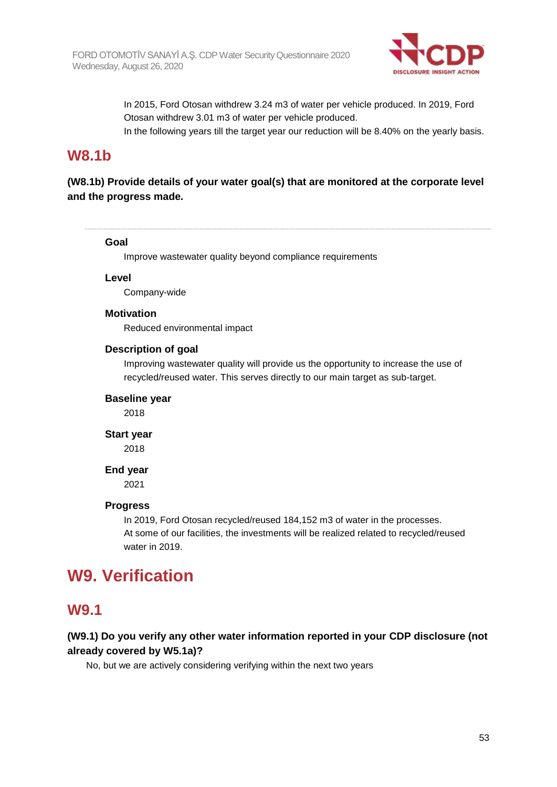

In 2015, Ford Otosan withdrew 3.24 m3 of water per vehicle produced. In 2019, Ford Otosan withdrew 3.01 m3 of water per vehicle produced.

In the following years till the target year our reduction will be 8.40% on the yearly basis.

# **W8.1b**

### **(W8.1b) Provide details of your water goal(s) that are monitored at the corporate level and the progress made.**

### **Goal**

Improve wastewater quality beyond compliance requirements

**Level**

Company-wide

### **Motivation**

Reduced environmental impact

### **Description of goal**

Improving wastewater quality will provide us the opportunity to increase the use of recycled/reused water. This serves directly to our main target as sub-target.

### **Baseline year**

2018

#### **Start year**

2018

### **End year**

2021

### **Progress**

In 2019, Ford Otosan recycled/reused 184,152 m3 of water in the processes. At some of our facilities, the investments will be realized related to recycled/reused water in 2019.

# **W9. Verification**

### **W9.1**

### **(W9.1) Do you verify any other water information reported in your CDP disclosure (not already covered by W5.1a)?**

No, but we are actively considering verifying within the next two years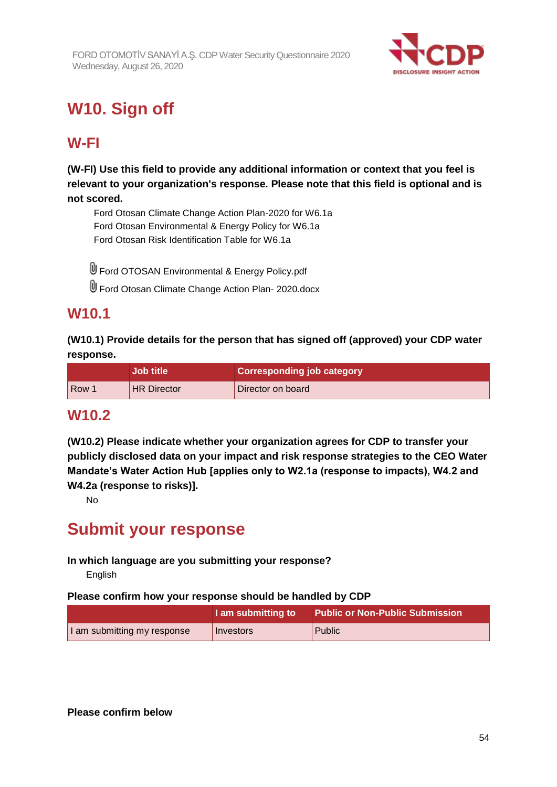

# **W10. Sign off**

# **W-FI**

**(W-FI) Use this field to provide any additional information or context that you feel is relevant to your organization's response. Please note that this field is optional and is not scored.**

Ford Otosan Climate Change Action Plan-2020 for W6.1a Ford Otosan Environmental & Energy Policy for W6.1a Ford Otosan Risk Identification Table for W6.1a

U Ford OTOSAN Environmental & Energy Policy.pdf

Ford Otosan Climate Change Action Plan- 2020.docx

# **W10.1**

**(W10.1) Provide details for the person that has signed off (approved) your CDP water response.**

|                  | <b>Job title</b>   | <b>Corresponding job category</b> |
|------------------|--------------------|-----------------------------------|
| Row <sup>1</sup> | <b>HR Director</b> | Director on board                 |

## **W10.2**

**(W10.2) Please indicate whether your organization agrees for CDP to transfer your publicly disclosed data on your impact and risk response strategies to the CEO Water Mandate's Water Action Hub [applies only to W2.1a (response to impacts), W4.2 and W4.2a (response to risks)].**

No

# **Submit your response**

### **In which language are you submitting your response?**

English

### **Please confirm how your response should be handled by CDP**

|                             | I am submitting to | <b>Public or Non-Public Submission</b> |
|-----------------------------|--------------------|----------------------------------------|
| I am submitting my response | Investors          | Public                                 |